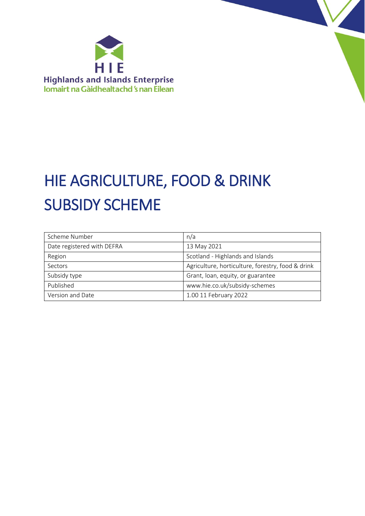

# HIE AGRICULTURE, FOOD & DRINK SUBSIDY SCHEME

| Scheme Number              | n/a                                               |
|----------------------------|---------------------------------------------------|
| Date registered with DEFRA | 13 May 2021                                       |
| Region                     | Scotland - Highlands and Islands                  |
| Sectors                    | Agriculture, horticulture, forestry, food & drink |
| Subsidy type               | Grant, loan, equity, or guarantee                 |
| Published                  | www.hie.co.uk/subsidy-schemes                     |
| Version and Date           | 1.00 11 February 2022                             |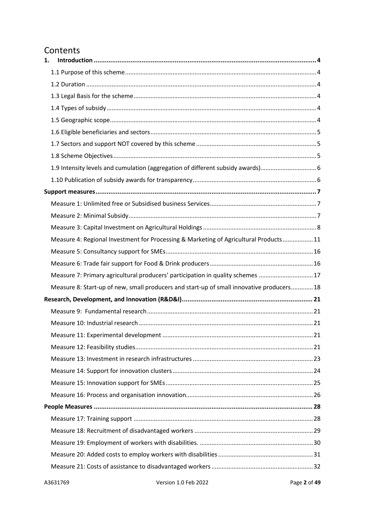# Contents

| 1. |                                                                                           |  |
|----|-------------------------------------------------------------------------------------------|--|
|    |                                                                                           |  |
|    |                                                                                           |  |
|    |                                                                                           |  |
|    |                                                                                           |  |
|    |                                                                                           |  |
|    |                                                                                           |  |
|    |                                                                                           |  |
|    |                                                                                           |  |
|    | 1.9 Intensity levels and cumulation (aggregation of different subsidy awards)             |  |
|    |                                                                                           |  |
|    |                                                                                           |  |
|    |                                                                                           |  |
|    |                                                                                           |  |
|    |                                                                                           |  |
|    | Measure 4: Regional Investment for Processing & Marketing of Agricultural Products11      |  |
|    |                                                                                           |  |
|    |                                                                                           |  |
|    | Measure 7: Primary agricultural producers' participation in quality schemes  17           |  |
|    | Measure 8: Start-up of new, small producers and start-up of small innovative producers 18 |  |
|    |                                                                                           |  |
|    |                                                                                           |  |
|    |                                                                                           |  |
|    |                                                                                           |  |
|    |                                                                                           |  |
|    |                                                                                           |  |
|    |                                                                                           |  |
|    |                                                                                           |  |
|    |                                                                                           |  |
|    |                                                                                           |  |
|    |                                                                                           |  |
|    |                                                                                           |  |
|    |                                                                                           |  |
|    |                                                                                           |  |
|    |                                                                                           |  |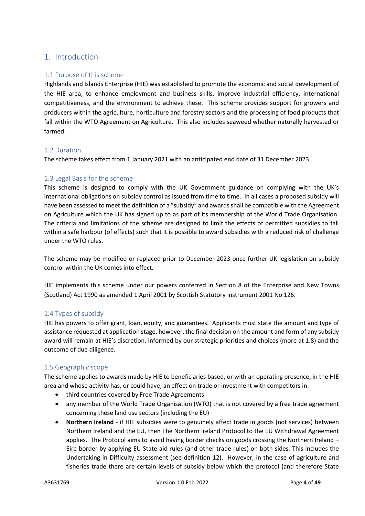# <span id="page-3-0"></span>1. Introduction

# <span id="page-3-1"></span>1.1 Purpose of this scheme

Highlands and Islands Enterprise (HIE) was established to promote the economic and social development of the HIE area, to enhance employment and business skills, improve industrial efficiency, international competitiveness, and the environment to achieve these. This scheme provides support for growers and producers within the agriculture, horticulture and forestry sectors and the processing of food products that fall within the WTO Agreement on Agriculture. This also includes seaweed whether naturally harvested or farmed.

# <span id="page-3-2"></span>1.2 Duration

The scheme takes effect from 1 January 2021 with an anticipated end date of 31 December 2023.

# <span id="page-3-3"></span>1.3 Legal Basis for the scheme

This scheme is designed to comply with the UK Government guidance on complying with the UK's international obligations on subsidy control as issued from time to time. In all cases a proposed subsidy will have been assessed to meet the definition of a "subsidy" and awards shall be compatible with the Agreement on Agriculture which the UK has signed up to as part of its membership of the World Trade Organisation. The criteria and limitations of the scheme are designed to limit the effects of permitted subsidies to fall within a safe harbour (of effects) such that it is possible to award subsidies with a reduced risk of challenge under the WTO rules.

The scheme may be modified or replaced prior to December 2023 once further UK legislation on subsidy control within the UK comes into effect.

HIE implements this scheme under our powers conferred in Section 8 of the Enterprise and New Towns (Scotland) Act 1990 as amended 1 April 2001 by Scottish Statutory Instrument 2001 No 126.

# <span id="page-3-4"></span>1.4 Types of subsidy

HIE has powers to offer grant, loan, equity, and guarantees. Applicants must state the amount and type of assistance requested at application stage, however, the final decision on the amount and form of any subsidy award will remain at HIE's discretion, informed by our strategic priorities and choices (more at 1.8) and the outcome of due diligence.

# <span id="page-3-5"></span>1.5 Geographic scope

The scheme applies to awards made by HIE to beneficiaries based, or with an operating presence, in the HIE area and whose activity has, or could have, an effect on trade or investment with competitors in:

- third countries covered by Free Trade Agreements
- any member of the World Trade Organisation (WTO) that is not covered by a free trade agreement concerning these land use sectors (including the EU)
- **Northern Ireland** if HIE subsidies were to genuinely affect trade in goods (not services) between Northern Ireland and the EU, then The Northern Ireland Protocol to the EU Withdrawal Agreement applies. The Protocol aims to avoid having border checks on goods crossing the Northern Ireland – Eire border by applying EU State aid rules (and other trade rules) on both sides. This includes the Undertaking in Difficulty assessment (see definition 12). However, in the case of agriculture and fisheries trade there are certain levels of subsidy below which the protocol (and therefore State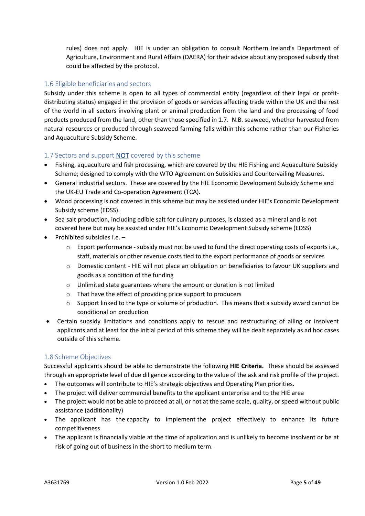rules) does not apply. HIE is under an obligation to consult Northern Ireland's Department of Agriculture, Environment and Rural Affairs (DAERA) for their advice about any proposed subsidy that could be affected by the protocol.

# <span id="page-4-0"></span>1.6 Eligible beneficiaries and sectors

Subsidy under this scheme is open to all types of commercial entity (regardless of their legal or profitdistributing status) engaged in the provision of goods or services affecting trade within the UK and the rest of the world in all sectors involving plant or animal production from the land and the processing of food products produced from the land, other than those specified in 1.7. N.B. seaweed, whether harvested from natural resources or produced through seaweed farming falls within this scheme rather than our Fisheries and Aquaculture Subsidy Scheme.

# <span id="page-4-1"></span>1.7 Sectors and support **NOT** covered by this scheme

- Fishing, aquaculture and fish processing, which are covered by the HIE Fishing and Aquaculture Subsidy Scheme; designed to comply with the WTO Agreement on Subsidies and Countervailing Measures.
- General industrial sectors. These are covered by the HIE Economic Development Subsidy Scheme and the UK-EU Trade and Co-operation Agreement (TCA).
- Wood processing is not covered in this scheme but may be assisted under HIE's Economic Development Subsidy scheme (EDSS).
- Sea salt production, including edible salt for culinary purposes, is classed as a mineral and is not covered here but may be assisted under HIE's Economic Development Subsidy scheme (EDSS)
- Prohibited subsidies i.e.  $$ 
	- o Export performance subsidy must not be used to fund the direct operating costs of exports i.e., staff, materials or other revenue costs tied to the export performance of goods or services
	- $\circ$  Domestic content HIE will not place an obligation on beneficiaries to favour UK suppliers and goods as a condition of the funding
	- o Unlimited state guarantees where the amount or duration is not limited
	- o That have the effect of providing price support to producers
	- $\circ$  Support linked to the type or volume of production. This means that a subsidy award cannot be conditional on production
- Certain subsidy limitations and conditions apply to rescue and restructuring of ailing or insolvent applicants and at least for the initial period of this scheme they will be dealt separately as ad hoc cases outside of this scheme.

# <span id="page-4-2"></span>1.8 Scheme Objectives

Successful applicants should be able to demonstrate the following **HIE Criteria.** These should be assessed through an appropriate level of due diligence according to the value of the ask and risk profile of the project.

- The outcomes will contribute to HIE's strategic objectives and Operating Plan priorities.
- The project will deliver commercial benefits to the applicant enterprise and to the HIE area
- The project would not be able to proceed at all, or not at the same scale, quality, or speed without public assistance (additionality)
- The applicant has the capacity to implement the project effectively to enhance its future competitiveness
- The applicant is financially viable at the time of application and is unlikely to become insolvent or be at risk of going out of business in the short to medium term.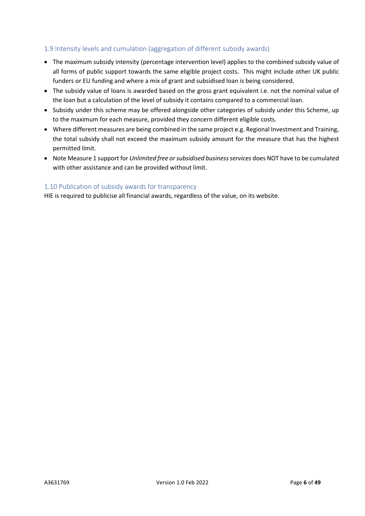# <span id="page-5-0"></span>1.9 Intensity levels and cumulation (aggregation of different subsidy awards)

- The maximum subsidy intensity (percentage intervention level) applies to the combined subsidy value of all forms of public support towards the same eligible project costs. This might include other UK public funders or EU funding and where a mix of grant and subsidised loan is being considered.
- The subsidy value of loans is awarded based on the gross grant equivalent i.e. not the nominal value of the loan but a calculation of the level of subsidy it contains compared to a commercial loan.
- Subsidy under this scheme may be offered alongside other categories of subsidy under this Scheme, up to the maximum for each measure, provided they concern different eligible costs.
- Where different measures are being combined in the same project e.g. Regional Investment and Training, the total subsidy shall not exceed the maximum subsidy amount for the measure that has the highest permitted limit.
- Note Measure 1 support for *Unlimited free or subsidised business services* does NOT have to be cumulated with other assistance and can be provided without limit.

# <span id="page-5-1"></span>1.10 Publication of subsidy awards for transparency

HIE is required to publicise all financial awards, regardless of the value, on its website.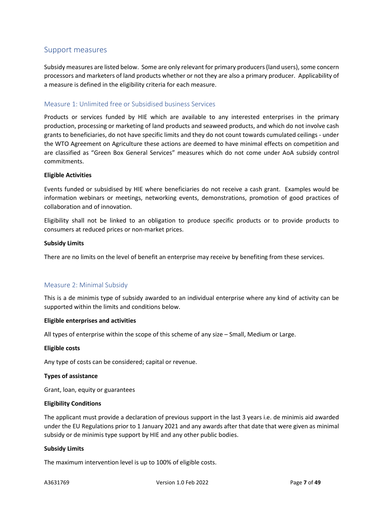# <span id="page-6-0"></span>Support measures

Subsidy measures are listed below. Some are only relevant for primary producers (land users), some concern processors and marketers of land products whether or not they are also a primary producer. Applicability of a measure is defined in the eligibility criteria for each measure.

# <span id="page-6-1"></span>Measure 1: Unlimited free or Subsidised business Services

Products or services funded by HIE which are available to any interested enterprises in the primary production, processing or marketing of land products and seaweed products, and which do not involve cash grants to beneficiaries, do not have specific limits and they do not count towards cumulated ceilings - under the WTO Agreement on Agriculture these actions are deemed to have minimal effects on competition and are classified as "Green Box General Services" measures which do not come under AoA subsidy control commitments.

# **Eligible Activities**

Events funded or subsidised by HIE where beneficiaries do not receive a cash grant. Examples would be information webinars or meetings, networking events, demonstrations, promotion of good practices of collaboration and of innovation.

Eligibility shall not be linked to an obligation to produce specific products or to provide products to consumers at reduced prices or non-market prices.

#### **Subsidy Limits**

There are no limits on the level of benefit an enterprise may receive by benefiting from these services.

# <span id="page-6-2"></span>Measure 2: Minimal Subsidy

This is a de minimis type of subsidy awarded to an individual enterprise where any kind of activity can be supported within the limits and conditions below.

#### **Eligible enterprises and activities**

All types of enterprise within the scope of this scheme of any size – Small, Medium or Large.

#### **Eligible costs**

Any type of costs can be considered; capital or revenue.

#### **Types of assistance**

Grant, loan, equity or guarantees

#### **Eligibility Conditions**

The applicant must provide a declaration of previous support in the last 3 years i.e. de minimis aid awarded under the EU Regulations prior to 1 January 2021 and any awards after that date that were given as minimal subsidy or de minimis type support by HIE and any other public bodies.

#### **Subsidy Limits**

The maximum intervention level is up to 100% of eligible costs.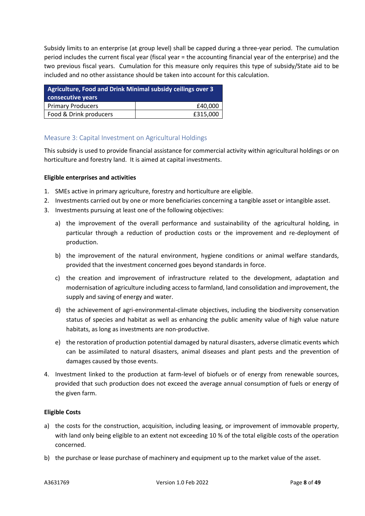Subsidy limits to an enterprise (at group level) shall be capped during a three-year period. The cumulation period includes the current fiscal year (fiscal year = the accounting financial year of the enterprise) and the two previous fiscal years. Cumulation for this measure only requires this type of subsidy/State aid to be included and no other assistance should be taken into account for this calculation.

| Agriculture, Food and Drink Minimal subsidy ceilings over 3 |          |  |
|-------------------------------------------------------------|----------|--|
| consecutive years                                           |          |  |
| <b>Primary Producers</b>                                    | £40.000  |  |
| Food & Drink producers                                      | £315,000 |  |

# <span id="page-7-0"></span>Measure 3: Capital Investment on Agricultural Holdings

This subsidy is used to provide financial assistance for commercial activity within agricultural holdings or on horticulture and forestry land. It is aimed at capital investments.

# **Eligible enterprises and activities**

- 1. SMEs active in primary agriculture, forestry and horticulture are eligible.
- 2. Investments carried out by one or more beneficiaries concerning a tangible asset or intangible asset.
- 3. Investments pursuing at least one of the following objectives:
	- a) the improvement of the overall performance and sustainability of the agricultural holding, in particular through a reduction of production costs or the improvement and re-deployment of production.
	- b) the improvement of the natural environment, hygiene conditions or animal welfare standards, provided that the investment concerned goes beyond standards in force.
	- c) the creation and improvement of infrastructure related to the development, adaptation and modernisation of agriculture including access to farmland, land consolidation and improvement, the supply and saving of energy and water.
	- d) the achievement of agri-environmental-climate objectives, including the biodiversity conservation status of species and habitat as well as enhancing the public amenity value of high value nature habitats, as long as investments are non-productive.
	- e) the restoration of production potential damaged by natural disasters, adverse climatic events which can be assimilated to natural disasters, animal diseases and plant pests and the prevention of damages caused by those events.
- 4. Investment linked to the production at farm-level of biofuels or of energy from renewable sources, provided that such production does not exceed the average annual consumption of fuels or energy of the given farm.

# **Eligible Costs**

- a) the costs for the construction, acquisition, including leasing, or improvement of immovable property, with land only being eligible to an extent not exceeding 10 % of the total eligible costs of the operation concerned.
- b) the purchase or lease purchase of machinery and equipment up to the market value of the asset.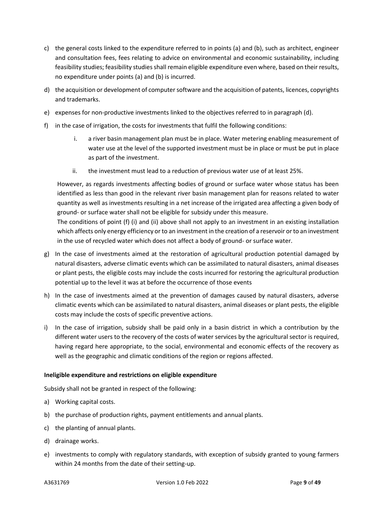- c) the general costs linked to the expenditure referred to in points (a) and (b), such as architect, engineer and consultation fees, fees relating to advice on environmental and economic sustainability, including feasibility studies; feasibility studies shall remain eligible expenditure even where, based on their results, no expenditure under points (a) and (b) is incurred.
- d) the acquisition or development of computer software and the acquisition of patents, licences, copyrights and trademarks.
- e) expenses for non-productive investments linked to the objectives referred to in paragraph (d).
- f) in the case of irrigation, the costs for investments that fulfil the following conditions:
	- i. a river basin management plan must be in place. Water metering enabling measurement of water use at the level of the supported investment must be in place or must be put in place as part of the investment.
	- ii. the investment must lead to a reduction of previous water use of at least 25%.

However, as regards investments affecting bodies of ground or surface water whose status has been identified as less than good in the relevant river basin management plan for reasons related to water quantity as well as investments resulting in a net increase of the irrigated area affecting a given body of ground- or surface water shall not be eligible for subsidy under this measure.

The conditions of point (f) (i) and (ii) above shall not apply to an investment in an existing installation which affects only energy efficiency or to an investment in the creation of a reservoir or to an investment in the use of recycled water which does not affect a body of ground- or surface water.

- g) In the case of investments aimed at the restoration of agricultural production potential damaged by natural disasters, adverse climatic events which can be assimilated to natural disasters, animal diseases or plant pests, the eligible costs may include the costs incurred for restoring the agricultural production potential up to the level it was at before the occurrence of those events
- h) In the case of investments aimed at the prevention of damages caused by natural disasters, adverse climatic events which can be assimilated to natural disasters, animal diseases or plant pests, the eligible costs may include the costs of specific preventive actions.
- i) In the case of irrigation, subsidy shall be paid only in a basin district in which a contribution by the different water users to the recovery of the costs of water services by the agricultural sector is required, having regard here appropriate, to the social, environmental and economic effects of the recovery as well as the geographic and climatic conditions of the region or regions affected.

# **Ineligible expenditure and restrictions on eligible expenditure**

Subsidy shall not be granted in respect of the following:

- a) Working capital costs.
- b) the purchase of production rights, payment entitlements and annual plants.
- c) the planting of annual plants.
- d) drainage works.
- e) investments to comply with regulatory standards, with exception of subsidy granted to young farmers within 24 months from the date of their setting-up.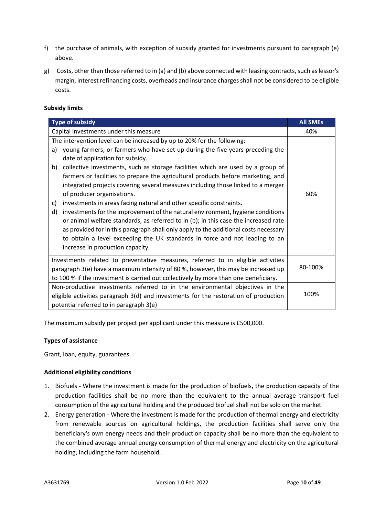- f) the purchase of animals, with exception of subsidy granted for investments pursuant to paragraph (e) above.
- g) Costs, other than those referred to in (a) and (b) above connected with leasing contracts, such as lessor's margin, interest refinancing costs, overheads and insurance charges shall not be considered to be eligible costs.

# **Subsidy limits**

| <b>Type of subsidy</b>                                                                                                                                                                                                                                                                                                                                                                                                                                                                                                                                                                                                                                                                                                                                                                                                                                | <b>All SMEs</b> |
|-------------------------------------------------------------------------------------------------------------------------------------------------------------------------------------------------------------------------------------------------------------------------------------------------------------------------------------------------------------------------------------------------------------------------------------------------------------------------------------------------------------------------------------------------------------------------------------------------------------------------------------------------------------------------------------------------------------------------------------------------------------------------------------------------------------------------------------------------------|-----------------|
| Capital investments under this measure                                                                                                                                                                                                                                                                                                                                                                                                                                                                                                                                                                                                                                                                                                                                                                                                                | 40%             |
| The intervention level can be increased by up to 20% for the following:<br>young farmers, or farmers who have set up during the five years preceding the<br>a)<br>date of application for subsidy.<br>collective investments, such as storage facilities which are used by a group of<br>b)<br>farmers or facilities to prepare the agricultural products before marketing, and<br>integrated projects covering several measures including those linked to a merger<br>of producer organisations.<br>investments in areas facing natural and other specific constraints.<br>C)<br>investments for the improvement of the natural environment, hygiene conditions<br>d)<br>or animal welfare standards, as referred to in (b); in this case the increased rate<br>as provided for in this paragraph shall only apply to the additional costs necessary | 60%             |
| to obtain a level exceeding the UK standards in force and not leading to an<br>increase in production capacity.                                                                                                                                                                                                                                                                                                                                                                                                                                                                                                                                                                                                                                                                                                                                       |                 |
| Investments related to preventative measures, referred to in eligible activities<br>paragraph 3(e) have a maximum intensity of 80 %, however, this may be increased up<br>to 100 % if the investment is carried out collectively by more than one beneficiary.                                                                                                                                                                                                                                                                                                                                                                                                                                                                                                                                                                                        | 80-100%         |
| Non-productive investments referred to in the environmental objectives in the<br>eligible activities paragraph 3(d) and investments for the restoration of production<br>potential referred to in paragraph 3(e)                                                                                                                                                                                                                                                                                                                                                                                                                                                                                                                                                                                                                                      | 100%            |

The maximum subsidy per project per applicant under this measure is £500,000.

# **Types of assistance**

Grant, loan, equity, guarantees.

# **Additional eligibility conditions**

- 1. Biofuels Where the investment is made for the production of biofuels, the production capacity of the production facilities shall be no more than the equivalent to the annual average transport fuel consumption of the agricultural holding and the produced biofuel shall not be sold on the market.
- 2. Energy generation Where the investment is made for the production of thermal energy and electricity from renewable sources on agricultural holdings, the production facilities shall serve only the beneficiary's own energy needs and their production capacity shall be no more than the equivalent to the combined average annual energy consumption of thermal energy and electricity on the agricultural holding, including the farm household.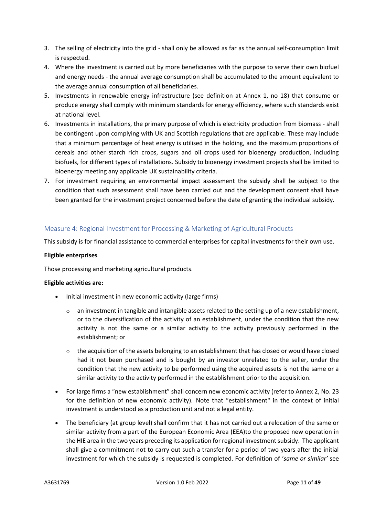- 3. The selling of electricity into the grid shall only be allowed as far as the annual self-consumption limit is respected.
- 4. Where the investment is carried out by more beneficiaries with the purpose to serve their own biofuel and energy needs - the annual average consumption shall be accumulated to the amount equivalent to the average annual consumption of all beneficiaries.
- 5. Investments in renewable energy infrastructure (see definition at Annex 1, no 18) that consume or produce energy shall comply with minimum standards for energy efficiency, where such standards exist at national level.
- 6. Investments in installations, the primary purpose of which is electricity production from biomass shall be contingent upon complying with UK and Scottish regulations that are applicable. These may include that a minimum percentage of heat energy is utilised in the holding, and the maximum proportions of cereals and other starch rich crops, sugars and oil crops used for bioenergy production, including biofuels, for different types of installations. Subsidy to bioenergy investment projects shall be limited to bioenergy meeting any applicable UK sustainability criteria.
- 7. For investment requiring an environmental impact assessment the subsidy shall be subject to the condition that such assessment shall have been carried out and the development consent shall have been granted for the investment project concerned before the date of granting the individual subsidy.

# <span id="page-10-0"></span>Measure 4: Regional Investment for Processing & Marketing of Agricultural Products

This subsidy is for financial assistance to commercial enterprises for capital investments for their own use.

# **Eligible enterprises**

Those processing and marketing agricultural products.

# **Eligible activities are:**

- Initial investment in new economic activity (large firms)
	- $\circ$  an investment in tangible and intangible assets related to the setting up of a new establishment, or to the diversification of the activity of an establishment, under the condition that the new activity is not the same or a similar activity to the activity previously performed in the establishment; or
	- $\circ$  the acquisition of the assets belonging to an establishment that has closed or would have closed had it not been purchased and is bought by an investor unrelated to the seller, under the condition that the new activity to be performed using the acquired assets is not the same or a similar activity to the activity performed in the establishment prior to the acquisition.
- For large firms a "new establishment" shall concern new economic activity (refer to Annex 2, No. 23 for the definition of new economic activity). Note that "establishment" in the context of initial investment is understood as a production unit and not a legal entity.
- The beneficiary (at group level) shall confirm that it has not carried out a relocation of the same or similar activity from a part of the European Economic Area (EEA)to the proposed new operation in the HIE area in the two years preceding its application for regional investment subsidy. The applicant shall give a commitment not to carry out such a transfer for a period of two years after the initial investment for which the subsidy is requested is completed. For definition of '*same or similar'* see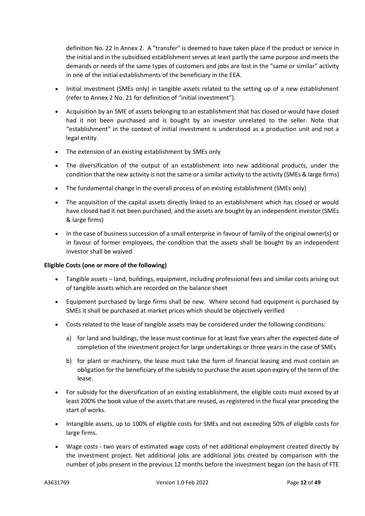definition No. 22 in Annex 2. A "transfer" is deemed to have taken place if the product or service in the initial and in the subsidised establishment serves at least partly the same purpose and meets the demands or needs of the same types of customers and jobs are lost in the "same or similar" activity in one of the initial establishments of the beneficiary in the EEA.

- Initial investment (SMEs only) in tangible assets related to the setting up of a new establishment (refer to Annex 2 No. 21 for definition of "initial investment").
- Acquisition by an SME of assets belonging to an establishment that has closed or would have closed had it not been purchased and is bought by an investor unrelated to the seller. Note that "establishment" in the context of initial investment is understood as a production unit and not a legal entity.
- The extension of an existing establishment by SMEs only
- The diversification of the output of an establishment into new additional products, under the condition that the new activity is not the same or a similar activity to the activity (SMEs & large firms)
- The fundamental change in the overall process of an existing establishment (SMEs only)
- The acquisition of the capital assets directly linked to an establishment which has closed or would have closed had it not been purchased, and the assets are bought by an independent investor (SMEs & large firms)
- In the case of business succession of a small enterprise in favour of family of the original owner(s) or in favour of former employees, the condition that the assets shall be bought by an independent investor shall be waived

# **Eligible Costs (one or more of the following)**

- Tangible assets land, buildings, equipment, including professional fees and similar costs arising out of tangible assets which are recorded on the balance sheet
- Equipment purchased by large firms shall be new. Where second had equipment is purchased by SMEs it shall be purchased at market prices which should be objectively verified
- Costs related to the lease of tangible assets may be considered under the following conditions:
	- a) for land and buildings, the lease must continue for at least five years after the expected date of completion of the investment project for large undertakings or three years in the case of SMEs
	- b) for plant or machinery, the lease must take the form of financial leasing and must contain an obligation for the beneficiary of the subsidy to purchase the asset upon expiry of the term of the lease.
- For subsidy for the diversification of an existing establishment, the eligible costs must exceed by at least 200% the book value of the assets that are reused, as registered in the fiscal year preceding the start of works.
- Intangible assets, up to 100% of eligible costs for SMEs and not exceeding 50% of eligible costs for large firms.
- Wage costs two years of estimated wage costs of net additional employment created directly by the investment project. Net additional jobs are additional jobs created by comparison with the number of jobs present in the previous 12 months before the investment began (on the basis of FTE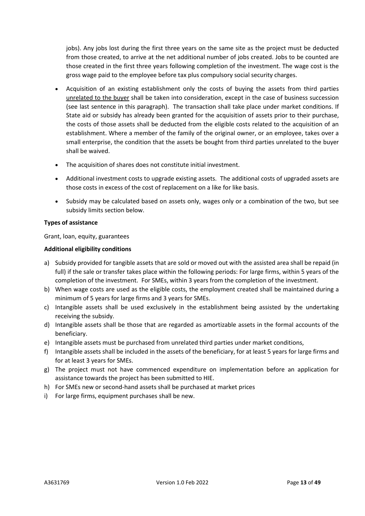jobs). Any jobs lost during the first three years on the same site as the project must be deducted from those created, to arrive at the net additional number of jobs created. Jobs to be counted are those created in the first three years following completion of the investment. The wage cost is the gross wage paid to the employee before tax plus compulsory social security charges.

- Acquisition of an existing establishment only the costs of buying the assets from third parties unrelated to the buyer shall be taken into consideration, except in the case of business succession (see last sentence in this paragraph). The transaction shall take place under market conditions. If State aid or subsidy has already been granted for the acquisition of assets prior to their purchase, the costs of those assets shall be deducted from the eligible costs related to the acquisition of an establishment. Where a member of the family of the original owner, or an employee, takes over a small enterprise, the condition that the assets be bought from third parties unrelated to the buyer shall be waived.
- The acquisition of shares does not constitute initial investment.
- Additional investment costs to upgrade existing assets. The additional costs of upgraded assets are those costs in excess of the cost of replacement on a like for like basis.
- Subsidy may be calculated based on assets only, wages only or a combination of the two, but see subsidy limits section below.

# **Types of assistance**

Grant, loan, equity, guarantees

# **Additional eligibility conditions**

- a) Subsidy provided for tangible assets that are sold or moved out with the assisted area shall be repaid (in full) if the sale or transfer takes place within the following periods: For large firms, within 5 years of the completion of the investment. For SMEs, within 3 years from the completion of the investment.
- b) When wage costs are used as the eligible costs, the employment created shall be maintained during a minimum of 5 years for large firms and 3 years for SMEs.
- c) Intangible assets shall be used exclusively in the establishment being assisted by the undertaking receiving the subsidy.
- d) Intangible assets shall be those that are regarded as amortizable assets in the formal accounts of the beneficiary.
- e) Intangible assets must be purchased from unrelated third parties under market conditions,
- f) Intangible assets shall be included in the assets of the beneficiary, for at least 5 years for large firms and for at least 3 years for SMEs.
- g) The project must not have commenced expenditure on implementation before an application for assistance towards the project has been submitted to HIE.
- h) For SMEs new or second-hand assets shall be purchased at market prices
- i) For large firms, equipment purchases shall be new.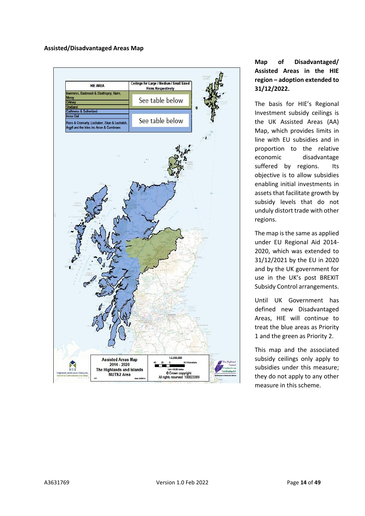#### **Assisted/Disadvantaged Areas Map**



# **Map of Disadvantaged/ Assisted Areas in the HIE region – adoption extended to 31/12/2022.**

The basis for HIE's Regional Investment subsidy ceilings is the UK Assisted Areas (AA) Map, which provides limits in line with EU subsidies and in proportion to the relative economic disadvantage suffered by regions. Its objective is to allow subsidies enabling initial investments in assets that facilitate growth by subsidy levels that do not unduly distort trade with other regions.

The map is the same as applied under EU Regional Aid 2014- 2020, which was extended to 31/12/2021 by the EU in 2020 and by the UK government for use in the UK's post BREXIT Subsidy Control arrangements.

Until UK Government has defined new Disadvantaged Areas, HIE will continue to treat the blue areas as Priority 1 and the green as Priority 2.

This map and the associated subsidy ceilings only apply to subsidies under this measure; they do not apply to any other measure in this scheme.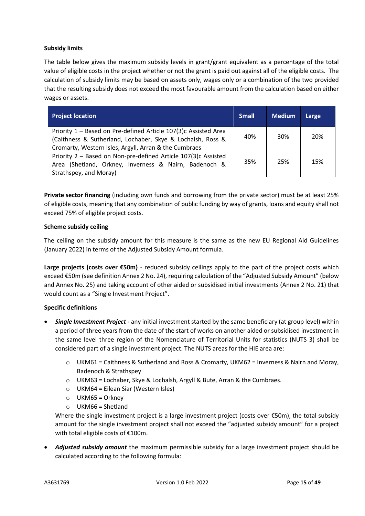# **Subsidy limits**

The table below gives the maximum subsidy levels in grant/grant equivalent as a percentage of the total value of eligible costs in the project whether or not the grant is paid out against all of the eligible costs. The calculation of subsidy limits may be based on assets only, wages only or a combination of the two provided that the resulting subsidy does not exceed the most favourable amount from the calculation based on either wages or assets.

| <b>Project location</b>                                                                                                                                                                | <b>Small</b> | <b>Medium</b> | Large |
|----------------------------------------------------------------------------------------------------------------------------------------------------------------------------------------|--------------|---------------|-------|
| Priority 1 - Based on Pre-defined Article 107(3)c Assisted Area<br>(Caithness & Sutherland, Lochaber, Skye & Lochalsh, Ross &<br>Cromarty, Western Isles, Argyll, Arran & the Cumbraes | 40%          | <b>30%</b>    | 20%   |
| Priority 2 - Based on Non-pre-defined Article 107(3)c Assisted<br>Area (Shetland, Orkney, Inverness & Nairn, Badenoch &<br>Strathspey, and Moray)                                      |              | 25%           | 15%   |

**Private sector financing** (including own funds and borrowing from the private sector) must be at least 25% of eligible costs, meaning that any combination of public funding by way of grants, loans and equity shall not exceed 75% of eligible project costs.

# **Scheme subsidy ceiling**

The ceiling on the subsidy amount for this measure is the same as the new EU Regional Aid Guidelines (January 2022) in terms of the Adjusted Subsidy Amount formula.

**Large projects (costs over €50m)** - reduced subsidy ceilings apply to the part of the project costs which exceed €50m (see definition Annex 2 No. 24), requiring calculation of the "Adjusted Subsidy Amount" (below and Annex No. 25) and taking account of other aided or subsidised initial investments (Annex 2 No. 21) that would count as a "Single Investment Project".

# **Specific definitions**

- *Single Investment Project* **-** any initial investment started by the same beneficiary (at group level) within a period of three years from the date of the start of works on another aided or subsidised investment in the same level three region of the Nomenclature of Territorial Units for statistics (NUTS 3) shall be considered part of a single investment project. The NUTS areas for the HIE area are:
	- $\circ$  UKM61 = Caithness & Sutherland and Ross & Cromarty, UKM62 = Inverness & Nairn and Moray, Badenoch & Strathspey
	- o UKM63 = Lochaber, Skye & Lochalsh, Argyll & Bute, Arran & the Cumbraes.
	- $\circ$  UKM64 = Eilean Siar (Western Isles)
	- $O$  UKM65 = Orkney
	- $O$  UKM66 = Shetland

Where the single investment project is a large investment project (costs over €50m), the total subsidy amount for the single investment project shall not exceed the "adjusted subsidy amount" for a project with total eligible costs of €100m.

• *Adjusted subsidy amount* the maximum permissible subsidy for a large investment project should be calculated according to the following formula: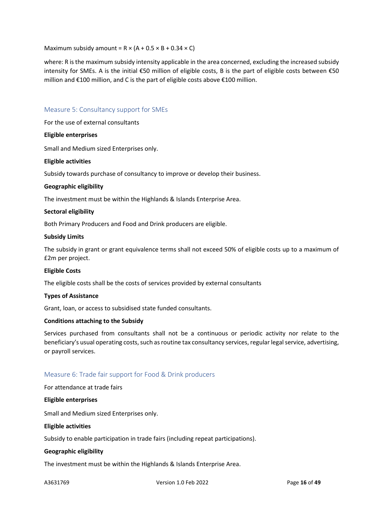Maximum subsidy amount =  $R \times (A + 0.5 \times B + 0.34 \times C)$ 

where: R is the maximum subsidy intensity applicable in the area concerned, excluding the increased subsidy intensity for SMEs. A is the initial €50 million of eligible costs, B is the part of eligible costs between €50 million and €100 million, and C is the part of eligible costs above €100 million.

# <span id="page-15-0"></span>Measure 5: Consultancy support for SMEs

For the use of external consultants

#### **Eligible enterprises**

Small and Medium sized Enterprises only.

#### **Eligible activities**

Subsidy towards purchase of consultancy to improve or develop their business.

#### **Geographic eligibility**

The investment must be within the Highlands & Islands Enterprise Area.

#### **Sectoral eligibility**

Both Primary Producers and Food and Drink producers are eligible.

#### **Subsidy Limits**

The subsidy in grant or grant equivalence terms shall not exceed 50% of eligible costs up to a maximum of £2m per project.

#### **Eligible Costs**

The eligible costs shall be the costs of services provided by external consultants

# **Types of Assistance**

Grant, loan, or access to subsidised state funded consultants.

#### **Conditions attaching to the Subsidy**

Services purchased from consultants shall not be a continuous or periodic activity nor relate to the beneficiary's usual operating costs, such as routine tax consultancy services, regular legal service, advertising, or payroll services.

# <span id="page-15-1"></span>Measure 6: Trade fair support for Food & Drink producers

For attendance at trade fairs

#### **Eligible enterprises**

Small and Medium sized Enterprises only.

#### **Eligible activities**

Subsidy to enable participation in trade fairs (including repeat participations).

#### **Geographic eligibility**

The investment must be within the Highlands & Islands Enterprise Area.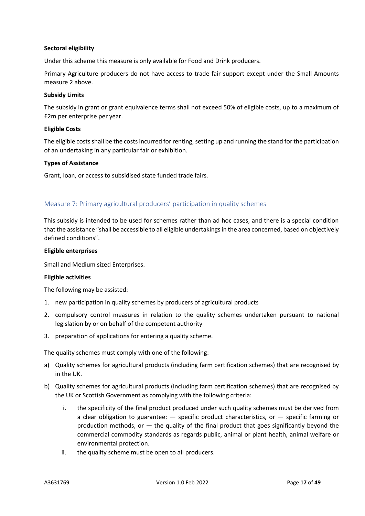# **Sectoral eligibility**

Under this scheme this measure is only available for Food and Drink producers.

Primary Agriculture producers do not have access to trade fair support except under the Small Amounts measure 2 above.

#### **Subsidy Limits**

The subsidy in grant or grant equivalence terms shall not exceed 50% of eligible costs, up to a maximum of £2m per enterprise per year.

#### **Eligible Costs**

The eligible costs shall be the costs incurred for renting, setting up and running the stand for the participation of an undertaking in any particular fair or exhibition.

#### **Types of Assistance**

Grant, loan, or access to subsidised state funded trade fairs.

# <span id="page-16-0"></span>Measure 7: Primary agricultural producers' participation in quality schemes

This subsidy is intended to be used for schemes rather than ad hoc cases, and there is a special condition that the assistance "shall be accessible to all eligible undertakings in the area concerned, based on objectively defined conditions".

#### **Eligible enterprises**

Small and Medium sized Enterprises.

#### **Eligible activities**

The following may be assisted:

- 1. new participation in quality schemes by producers of agricultural products
- 2. compulsory control measures in relation to the quality schemes undertaken pursuant to national legislation by or on behalf of the competent authority
- 3. preparation of applications for entering a quality scheme.

The quality schemes must comply with one of the following:

- a) Quality schemes for agricultural products (including farm certification schemes) that are recognised by in the UK.
- b) Quality schemes for agricultural products (including farm certification schemes) that are recognised by the UK or Scottish Government as complying with the following criteria:
	- i. the specificity of the final product produced under such quality schemes must be derived from a clear obligation to guarantee:  $-$  specific product characteristics, or  $-$  specific farming or production methods, or  $-$  the quality of the final product that goes significantly beyond the commercial commodity standards as regards public, animal or plant health, animal welfare or environmental protection.
	- ii. the quality scheme must be open to all producers.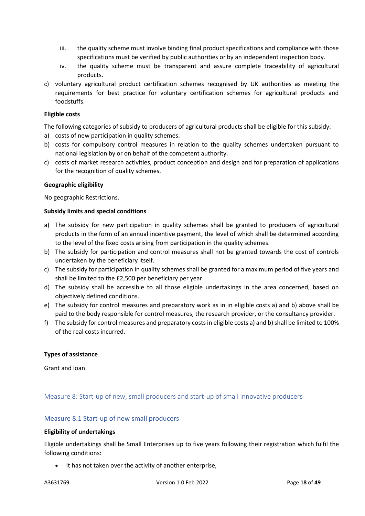- iii. the quality scheme must involve binding final product specifications and compliance with those specifications must be verified by public authorities or by an independent inspection body.
- iv. the quality scheme must be transparent and assure complete traceability of agricultural products.
- c) voluntary agricultural product certification schemes recognised by UK authorities as meeting the requirements for best practice for voluntary certification schemes for agricultural products and foodstuffs.

# **Eligible costs**

The following categories of subsidy to producers of agricultural products shall be eligible for this subsidy:

- a) costs of new participation in quality schemes.
- b) costs for compulsory control measures in relation to the quality schemes undertaken pursuant to national legislation by or on behalf of the competent authority.
- c) costs of market research activities, product conception and design and for preparation of applications for the recognition of quality schemes.

# **Geographic eligibility**

No geographic Restrictions.

#### **Subsidy limits and special conditions**

- a) The subsidy for new participation in quality schemes shall be granted to producers of agricultural products in the form of an annual incentive payment, the level of which shall be determined according to the level of the fixed costs arising from participation in the quality schemes.
- b) The subsidy for participation and control measures shall not be granted towards the cost of controls undertaken by the beneficiary itself.
- c) The subsidy for participation in quality schemes shall be granted for a maximum period of five years and shall be limited to the £2,500 per beneficiary per year.
- d) The subsidy shall be accessible to all those eligible undertakings in the area concerned, based on objectively defined conditions.
- e) The subsidy for control measures and preparatory work as in in eligible costs a) and b) above shall be paid to the body responsible for control measures, the research provider, or the consultancy provider.
- f) The subsidy for control measures and preparatory costs in eligible costs a) and b) shall be limited to 100% of the real costs incurred.

# **Types of assistance**

Grant and loan

# <span id="page-17-0"></span>Measure 8: Start-up of new, small producers and start-up of small innovative producers

# Measure 8.1 Start-up of new small producers

### **Eligibility of undertakings**

Eligible undertakings shall be Small Enterprises up to five years following their registration which fulfil the following conditions:

It has not taken over the activity of another enterprise,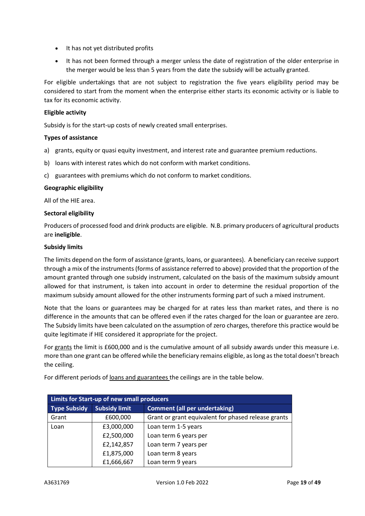- It has not yet distributed profits
- It has not been formed through a merger unless the date of registration of the older enterprise in the merger would be less than 5 years from the date the subsidy will be actually granted.

For eligible undertakings that are not subject to registration the five years eligibility period may be considered to start from the moment when the enterprise either starts its economic activity or is liable to tax for its economic activity.

# **Eligible activity**

Subsidy is for the start-up costs of newly created small enterprises.

# **Types of assistance**

- a) grants, equity or quasi equity investment, and interest rate and guarantee premium reductions.
- b) loans with interest rates which do not conform with market conditions.
- c) guarantees with premiums which do not conform to market conditions.

# **Geographic eligibility**

All of the HIE area.

# **Sectoral eligibility**

Producers of processed food and drink products are eligible. N.B. primary producers of agricultural products are **ineligible**.

#### **Subsidy limits**

The limits depend on the form of assistance (grants, loans, or guarantees). A beneficiary can receive support through a mix of the instruments (forms of assistance referred to above) provided that the proportion of the amount granted through one subsidy instrument, calculated on the basis of the maximum subsidy amount allowed for that instrument, is taken into account in order to determine the residual proportion of the maximum subsidy amount allowed for the other instruments forming part of such a mixed instrument.

Note that the loans or guarantees may be charged for at rates less than market rates, and there is no difference in the amounts that can be offered even if the rates charged for the loan or guarantee are zero. The Subsidy limits have been calculated on the assumption of zero charges, therefore this practice would be quite legitimate if HIE considered it appropriate for the project.

For grants the limit is £600,000 and is the cumulative amount of all subsidy awards under this measure i.e. more than one grant can be offered while the beneficiary remains eligible, as long as the total doesn't breach the ceiling.

| Limits for Start-up of new small producers |                      |                                                     |
|--------------------------------------------|----------------------|-----------------------------------------------------|
| <b>Type Subsidy</b>                        | <b>Subsidy limit</b> | <b>Comment (all per undertaking)</b>                |
| Grant                                      | £600,000             | Grant or grant equivalent for phased release grants |
| Loan                                       | £3,000,000           | Loan term 1-5 years                                 |
|                                            | £2,500,000           | Loan term 6 years per                               |
|                                            | £2,142,857           | Loan term 7 years per                               |
|                                            | £1,875,000           | Loan term 8 years                                   |
|                                            | £1,666,667           | Loan term 9 years                                   |

For different periods of loans and guarantees the ceilings are in the table below.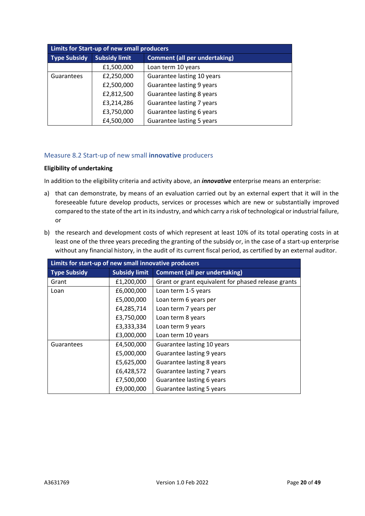| Limits for Start-up of new small producers |                      |                                      |  |
|--------------------------------------------|----------------------|--------------------------------------|--|
| <b>Type Subsidy</b>                        | <b>Subsidy limit</b> | <b>Comment (all per undertaking)</b> |  |
|                                            | £1,500,000           | Loan term 10 years                   |  |
| <b>Guarantees</b>                          | £2,250,000           | Guarantee lasting 10 years           |  |
|                                            | £2,500,000           | Guarantee lasting 9 years            |  |
|                                            | £2,812,500           | Guarantee lasting 8 years            |  |
|                                            | £3,214,286           | Guarantee lasting 7 years            |  |
|                                            | £3,750,000           | Guarantee lasting 6 years            |  |
|                                            | £4,500,000           | Guarantee lasting 5 years            |  |

# Measure 8.2 Start-up of new small **innovative** producers

# **Eligibility of undertaking**

In addition to the eligibility criteria and activity above, an *innovative* enterprise means an enterprise:

- a) that can demonstrate, by means of an evaluation carried out by an external expert that it will in the foreseeable future develop products, services or processes which are new or substantially improved compared to the state of the art in its industry, and which carry a risk of technological or industrial failure, or
- b) the research and development costs of which represent at least 10% of its total operating costs in at least one of the three years preceding the granting of the subsidy or, in the case of a start-up enterprise without any financial history, in the audit of its current fiscal period, as certified by an external auditor.

| Limits for start-up of new small innovative producers |                      |                                                     |  |
|-------------------------------------------------------|----------------------|-----------------------------------------------------|--|
| <b>Type Subsidy</b>                                   | <b>Subsidy limit</b> | <b>Comment (all per undertaking)</b>                |  |
| Grant                                                 | £1,200,000           | Grant or grant equivalent for phased release grants |  |
| Loan                                                  | £6,000,000           | Loan term 1-5 years                                 |  |
|                                                       | £5,000,000           | Loan term 6 years per                               |  |
|                                                       | £4,285,714           | Loan term 7 years per                               |  |
|                                                       | £3,750,000           | Loan term 8 years                                   |  |
|                                                       | £3,333,334           | Loan term 9 years                                   |  |
|                                                       | £3,000,000           | Loan term 10 years                                  |  |
| Guarantees                                            | £4,500,000           | Guarantee lasting 10 years                          |  |
|                                                       | £5,000,000           | Guarantee lasting 9 years                           |  |
|                                                       | £5,625,000           | Guarantee lasting 8 years                           |  |
|                                                       | £6,428,572           | Guarantee lasting 7 years                           |  |
|                                                       | £7,500,000           | Guarantee lasting 6 years                           |  |
|                                                       | £9,000,000           | Guarantee lasting 5 years                           |  |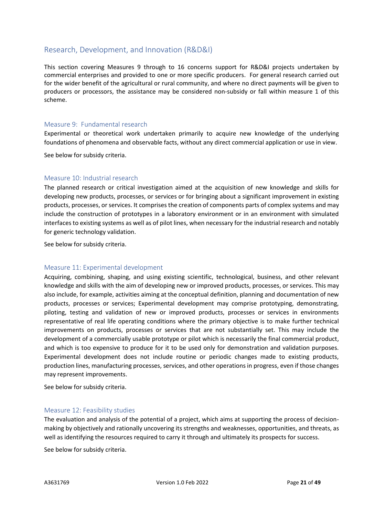# <span id="page-20-0"></span>Research, Development, and Innovation (R&D&I)

This section covering Measures 9 through to 16 concerns support for R&D&I projects undertaken by commercial enterprises and provided to one or more specific producers. For general research carried out for the wider benefit of the agricultural or rural community, and where no direct payments will be given to producers or processors, the assistance may be considered non-subsidy or fall within measure 1 of this scheme.

# <span id="page-20-1"></span>Measure 9: Fundamental research

Experimental or theoretical work undertaken primarily to acquire new knowledge of the underlying foundations of phenomena and observable facts, without any direct commercial application or use in view.

See below for subsidy criteria.

# <span id="page-20-2"></span>Measure 10: Industrial research

The planned research or critical investigation aimed at the acquisition of new knowledge and skills for developing new products, processes, or services or for bringing about a significant improvement in existing products, processes, or services. It comprises the creation of components parts of complex systems and may include the construction of prototypes in a laboratory environment or in an environment with simulated interfaces to existing systems as well as of pilot lines, when necessary for the industrial research and notably for generic technology validation.

See below for subsidy criteria.

# <span id="page-20-3"></span>Measure 11: Experimental development

Acquiring, combining, shaping, and using existing scientific, technological, business, and other relevant knowledge and skills with the aim of developing new or improved products, processes, or services. This may also include, for example, activities aiming at the conceptual definition, planning and documentation of new products, processes or services; Experimental development may comprise prototyping, demonstrating, piloting, testing and validation of new or improved products, processes or services in environments representative of real life operating conditions where the primary objective is to make further technical improvements on products, processes or services that are not substantially set. This may include the development of a commercially usable prototype or pilot which is necessarily the final commercial product, and which is too expensive to produce for it to be used only for demonstration and validation purposes. Experimental development does not include routine or periodic changes made to existing products, production lines, manufacturing processes, services, and other operations in progress, even if those changes may represent improvements.

See below for subsidy criteria.

# <span id="page-20-4"></span>Measure 12: Feasibility studies

The evaluation and analysis of the potential of a project, which aims at supporting the process of decisionmaking by objectively and rationally uncovering its strengths and weaknesses, opportunities, and threats, as well as identifying the resources required to carry it through and ultimately its prospects for success.

See below for subsidy criteria.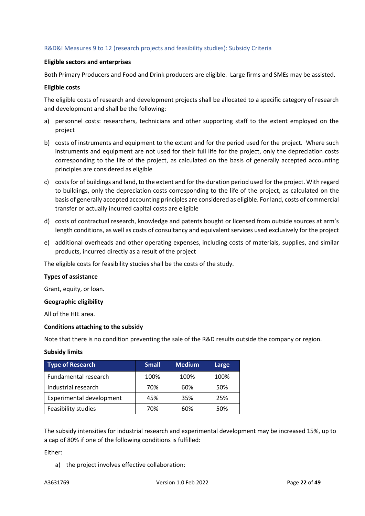# R&D&I Measures 9 to 12 (research projects and feasibility studies): Subsidy Criteria

#### **Eligible sectors and enterprises**

Both Primary Producers and Food and Drink producers are eligible. Large firms and SMEs may be assisted.

#### **Eligible costs**

The eligible costs of research and development projects shall be allocated to a specific category of research and development and shall be the following:

- a) personnel costs: researchers, technicians and other supporting staff to the extent employed on the project
- b) costs of instruments and equipment to the extent and for the period used for the project. Where such instruments and equipment are not used for their full life for the project, only the depreciation costs corresponding to the life of the project, as calculated on the basis of generally accepted accounting principles are considered as eligible
- c) costs for of buildings and land, to the extent and for the duration period used for the project. With regard to buildings, only the depreciation costs corresponding to the life of the project, as calculated on the basis of generally accepted accounting principles are considered as eligible. For land, costs of commercial transfer or actually incurred capital costs are eligible
- d) costs of contractual research, knowledge and patents bought or licensed from outside sources at arm's length conditions, as well as costs of consultancy and equivalent services used exclusively for the project
- e) additional overheads and other operating expenses, including costs of materials, supplies, and similar products, incurred directly as a result of the project

The eligible costs for feasibility studies shall be the costs of the study.

#### **Types of assistance**

Grant, equity, or loan.

#### **Geographic eligibility**

All of the HIE area.

#### **Conditions attaching to the subsidy**

Note that there is no condition preventing the sale of the R&D results outside the company or region.

#### **Subsidy limits**

| <b>Type of Research</b>  | <b>Small</b> | <b>Medium</b> | Large |
|--------------------------|--------------|---------------|-------|
| Fundamental research     | 100%         | 100%          | 100%  |
| Industrial research      | 70%          | 60%           | 50%   |
| Experimental development | 45%          | 35%           | 25%   |
| Feasibility studies      | 70%          | 60%           | 50%   |

The subsidy intensities for industrial research and experimental development may be increased 15%, up to a cap of 80% if one of the following conditions is fulfilled:

Either:

a) the project involves effective collaboration: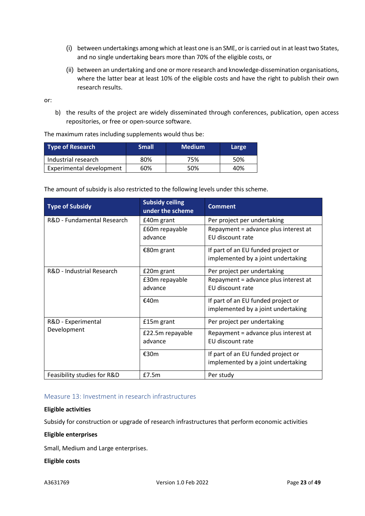- (i) between undertakings among which at least one is an SME, or is carried out in at least two States, and no single undertaking bears more than 70% of the eligible costs, or
- (ii) between an undertaking and one or more research and knowledge-dissemination organisations, where the latter bear at least 10% of the eligible costs and have the right to publish their own research results.

or:

b) the results of the project are widely disseminated through conferences, publication, open access repositories, or free or open-source software.

The maximum rates including supplements would thus be:

| Type of Research         | <b>Small</b> | <b>Medium</b> | Large |
|--------------------------|--------------|---------------|-------|
| Industrial research      | 80%          | 75%           | 50%   |
| Experimental development | 60%          | 50%           | 40%   |

The amount of subsidy is also restricted to the following levels under this scheme.

| <b>Type of Subsidy</b>      | <b>Subsidy ceiling</b><br>under the scheme | <b>Comment</b>                                                           |
|-----------------------------|--------------------------------------------|--------------------------------------------------------------------------|
| R&D - Fundamental Research  | £40m grant                                 | Per project per undertaking                                              |
|                             | £60m repayable<br>advance                  | Repayment = advance plus interest at<br>EU discount rate                 |
|                             | €80m grant                                 | If part of an EU funded project or<br>implemented by a joint undertaking |
| R&D - Industrial Research   | £20m grant                                 | Per project per undertaking                                              |
|                             | £30m repayable<br>advance                  | Repayment = advance plus interest at<br>EU discount rate                 |
|                             | €40m                                       | If part of an EU funded project or<br>implemented by a joint undertaking |
| R&D - Experimental          | £15m grant                                 | Per project per undertaking                                              |
| Development                 | £22.5m repayable<br>advance                | Repayment = advance plus interest at<br>EU discount rate                 |
|                             | €30m                                       | If part of an EU funded project or<br>implemented by a joint undertaking |
| Feasibility studies for R&D | £7.5m                                      | Per study                                                                |

# <span id="page-22-0"></span>Measure 13: Investment in research infrastructures

#### **Eligible activities**

Subsidy for construction or upgrade of research infrastructures that perform economic activities

# **Eligible enterprises**

Small, Medium and Large enterprises.

#### **Eligible costs**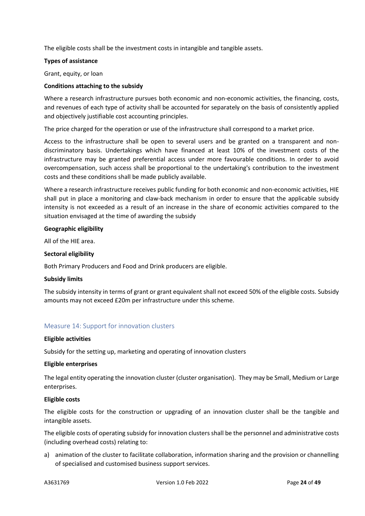The eligible costs shall be the investment costs in intangible and tangible assets.

# **Types of assistance**

Grant, equity, or loan

# **Conditions attaching to the subsidy**

Where a research infrastructure pursues both economic and non-economic activities, the financing, costs, and revenues of each type of activity shall be accounted for separately on the basis of consistently applied and objectively justifiable cost accounting principles.

The price charged for the operation or use of the infrastructure shall correspond to a market price.

Access to the infrastructure shall be open to several users and be granted on a transparent and nondiscriminatory basis. Undertakings which have financed at least 10% of the investment costs of the infrastructure may be granted preferential access under more favourable conditions. In order to avoid overcompensation, such access shall be proportional to the undertaking's contribution to the investment costs and these conditions shall be made publicly available.

Where a research infrastructure receives public funding for both economic and non-economic activities, HIE shall put in place a monitoring and claw-back mechanism in order to ensure that the applicable subsidy intensity is not exceeded as a result of an increase in the share of economic activities compared to the situation envisaged at the time of awarding the subsidy

# **Geographic eligibility**

All of the HIE area.

# **Sectoral eligibility**

Both Primary Producers and Food and Drink producers are eligible.

# **Subsidy limits**

The subsidy intensity in terms of grant or grant equivalent shall not exceed 50% of the eligible costs. Subsidy amounts may not exceed £20m per infrastructure under this scheme.

# <span id="page-23-0"></span>Measure 14: Support for innovation clusters

#### **Eligible activities**

Subsidy for the setting up, marketing and operating of innovation clusters

# **Eligible enterprises**

The legal entity operating the innovation cluster (cluster organisation). They may be Small, Medium or Large enterprises.

# **Eligible costs**

The eligible costs for the construction or upgrading of an innovation cluster shall be the tangible and intangible assets.

The eligible costs of operating subsidy for innovation clusters shall be the personnel and administrative costs (including overhead costs) relating to:

a) animation of the cluster to facilitate collaboration, information sharing and the provision or channelling of specialised and customised business support services.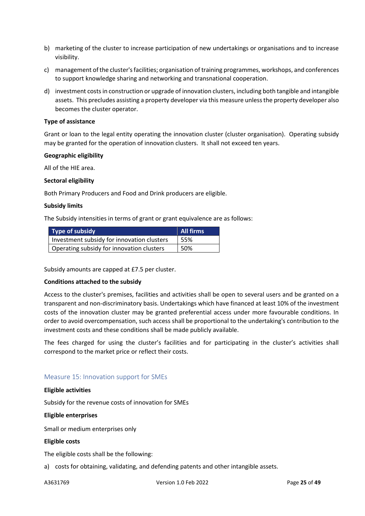- b) marketing of the cluster to increase participation of new undertakings or organisations and to increase visibility.
- c) management of the cluster's facilities; organisation of training programmes, workshops, and conferences to support knowledge sharing and networking and transnational cooperation.
- d) investment costs in construction or upgrade of innovation clusters, including both tangible and intangible assets. This precludes assisting a property developer via this measure unlessthe property developer also becomes the cluster operator.

#### **Type of assistance**

Grant or loan to the legal entity operating the innovation cluster (cluster organisation). Operating subsidy may be granted for the operation of innovation clusters. It shall not exceed ten years.

#### **Geographic eligibility**

All of the HIE area.

# **Sectoral eligibility**

Both Primary Producers and Food and Drink producers are eligible.

#### **Subsidy limits**

The Subsidy intensities in terms of grant or grant equivalence are as follows:

| <b>Type of subsidy</b>                     | <b>All firms</b> |
|--------------------------------------------|------------------|
| Investment subsidy for innovation clusters | 55%              |
| Operating subsidy for innovation clusters  | 50%              |

Subsidy amounts are capped at £7.5 per cluster.

#### **Conditions attached to the subsidy**

Access to the cluster's premises, facilities and activities shall be open to several users and be granted on a transparent and non-discriminatory basis. Undertakings which have financed at least 10% of the investment costs of the innovation cluster may be granted preferential access under more favourable conditions. In order to avoid overcompensation, such access shall be proportional to the undertaking's contribution to the investment costs and these conditions shall be made publicly available.

The fees charged for using the cluster's facilities and for participating in the cluster's activities shall correspond to the market price or reflect their costs.

# <span id="page-24-0"></span>Measure 15: Innovation support for SMEs

# **Eligible activities**

Subsidy for the revenue costs of innovation for SMEs

#### **Eligible enterprises**

Small or medium enterprises only

#### **Eligible costs**

The eligible costs shall be the following:

a) costs for obtaining, validating, and defending patents and other intangible assets.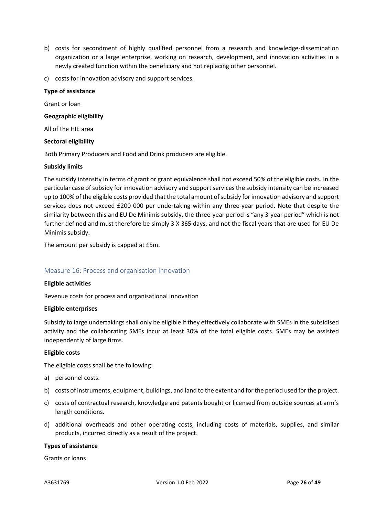- b) costs for secondment of highly qualified personnel from a research and knowledge-dissemination organization or a large enterprise, working on research, development, and innovation activities in a newly created function within the beneficiary and not replacing other personnel.
- c) costs for innovation advisory and support services.

# **Type of assistance**

Grant or loan

## **Geographic eligibility**

All of the HIE area

#### **Sectoral eligibility**

Both Primary Producers and Food and Drink producers are eligible.

# **Subsidy limits**

The subsidy intensity in terms of grant or grant equivalence shall not exceed 50% of the eligible costs. In the particular case of subsidy for innovation advisory and support services the subsidy intensity can be increased up to 100% of the eligible costs provided that the total amount of subsidy for innovation advisory and support services does not exceed £200 000 per undertaking within any three-year period. Note that despite the similarity between this and EU De Minimis subsidy, the three-year period is "any 3-year period" which is not further defined and must therefore be simply 3 X 365 days, and not the fiscal years that are used for EU De Minimis subsidy.

The amount per subsidy is capped at £5m.

# <span id="page-25-0"></span>Measure 16: Process and organisation innovation

# **Eligible activities**

Revenue costs for process and organisational innovation

# **Eligible enterprises**

Subsidy to large undertakings shall only be eligible if they effectively collaborate with SMEs in the subsidised activity and the collaborating SMEs incur at least 30% of the total eligible costs. SMEs may be assisted independently of large firms.

# **Eligible costs**

The eligible costs shall be the following:

- a) personnel costs.
- b) costs of instruments, equipment, buildings, and land to the extent and for the period used for the project.
- c) costs of contractual research, knowledge and patents bought or licensed from outside sources at arm's length conditions.
- d) additional overheads and other operating costs, including costs of materials, supplies, and similar products, incurred directly as a result of the project.

# **Types of assistance**

Grants or loans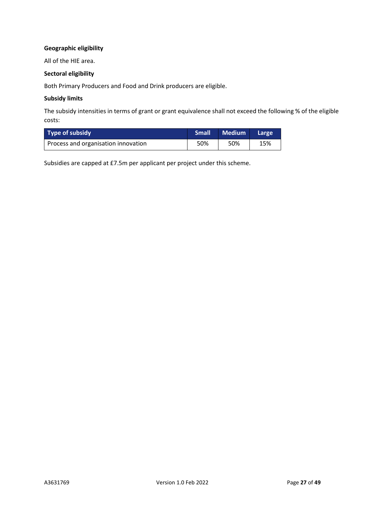# **Geographic eligibility**

All of the HIE area.

# **Sectoral eligibility**

Both Primary Producers and Food and Drink producers are eligible.

# **Subsidy limits**

The subsidy intensities in terms of grant or grant equivalence shall not exceed the following % of the eligible costs:

| Type of subsidy                     | <b>Small</b> | Medium | Large |
|-------------------------------------|--------------|--------|-------|
| Process and organisation innovation | 50%          | 50%    | 15%   |

Subsidies are capped at £7.5m per applicant per project under this scheme.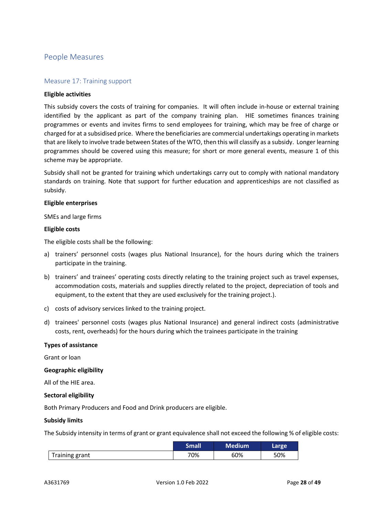# <span id="page-27-0"></span>People Measures

# <span id="page-27-1"></span>Measure 17: Training support

#### **Eligible activities**

This subsidy covers the costs of training for companies. It will often include in-house or external training identified by the applicant as part of the company training plan. HIE sometimes finances training programmes or events and invites firms to send employees for training, which may be free of charge or charged for at a subsidised price. Where the beneficiaries are commercial undertakings operating in markets that are likely to involve trade between States of the WTO, then this will classify as a subsidy. Longer learning programmes should be covered using this measure; for short or more general events, measure 1 of this scheme may be appropriate.

Subsidy shall not be granted for training which undertakings carry out to comply with national mandatory standards on training. Note that support for further education and apprenticeships are not classified as subsidy.

#### **Eligible enterprises**

SMEs and large firms

#### **Eligible costs**

The eligible costs shall be the following:

- a) trainers' personnel costs (wages plus National Insurance), for the hours during which the trainers participate in the training.
- b) trainers' and trainees' operating costs directly relating to the training project such as travel expenses, accommodation costs, materials and supplies directly related to the project, depreciation of tools and equipment, to the extent that they are used exclusively for the training project.).
- c) costs of advisory services linked to the training project.
- d) trainees' personnel costs (wages plus National Insurance) and general indirect costs (administrative costs, rent, overheads) for the hours during which the trainees participate in the training

#### **Types of assistance**

Grant or loan

#### **Geographic eligibility**

All of the HIE area.

#### **Sectoral eligibility**

Both Primary Producers and Food and Drink producers are eligible.

#### **Subsidy limits**

The Subsidy intensity in terms of grant or grant equivalence shall not exceed the following % of eligible costs:

|                | <b>Small</b> | Medium <sup>1</sup> | Large |
|----------------|--------------|---------------------|-------|
| Training grant | 70%          | 60%                 | 50%   |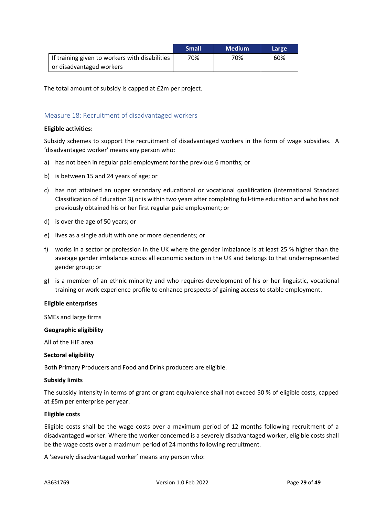|                                                | <b>Small</b> | <b>Medium</b> | Large |
|------------------------------------------------|--------------|---------------|-------|
| If training given to workers with disabilities | 70%          | 70%           | 60%   |
| or disadvantaged workers                       |              |               |       |

<span id="page-28-0"></span>The total amount of subsidy is capped at £2m per project.

# Measure 18: Recruitment of disadvantaged workers

#### **Eligible activities:**

Subsidy schemes to support the recruitment of disadvantaged workers in the form of wage subsidies. A 'disadvantaged worker' means any person who:

- a) has not been in regular paid employment for the previous 6 months; or
- b) is between 15 and 24 years of age; or
- c) has not attained an upper secondary educational or vocational qualification (International Standard Classification of Education 3) or is within two years after completing full-time education and who has not previously obtained his or her first regular paid employment; or
- d) is over the age of 50 years; or
- e) lives as a single adult with one or more dependents; or
- f) works in a sector or profession in the UK where the gender imbalance is at least 25 % higher than the average gender imbalance across all economic sectors in the UK and belongs to that underrepresented gender group; or
- g) is a member of an ethnic minority and who requires development of his or her linguistic, vocational training or work experience profile to enhance prospects of gaining access to stable employment.

#### **Eligible enterprises**

SMEs and large firms

#### **Geographic eligibility**

All of the HIE area

#### **Sectoral eligibility**

Both Primary Producers and Food and Drink producers are eligible.

#### **Subsidy limits**

The subsidy intensity in terms of grant or grant equivalence shall not exceed 50 % of eligible costs, capped at £5m per enterprise per year.

#### **Eligible costs**

Eligible costs shall be the wage costs over a maximum period of 12 months following recruitment of a disadvantaged worker. Where the worker concerned is a severely disadvantaged worker, eligible costs shall be the wage costs over a maximum period of 24 months following recruitment.

A 'severely disadvantaged worker' means any person who: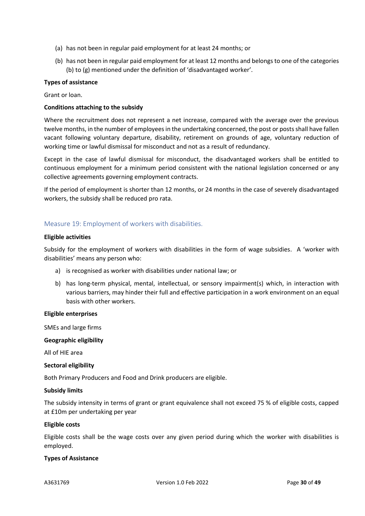- (a) has not been in regular paid employment for at least 24 months; or
- (b) has not been in regular paid employment for at least 12 months and belongs to one of the categories (b) to (g) mentioned under the definition of 'disadvantaged worker'.

## **Types of assistance**

Grant or loan.

#### **Conditions attaching to the subsidy**

Where the recruitment does not represent a net increase, compared with the average over the previous twelve months, in the number of employees in the undertaking concerned, the post or posts shall have fallen vacant following voluntary departure, disability, retirement on grounds of age, voluntary reduction of working time or lawful dismissal for misconduct and not as a result of redundancy.

Except in the case of lawful dismissal for misconduct, the disadvantaged workers shall be entitled to continuous employment for a minimum period consistent with the national legislation concerned or any collective agreements governing employment contracts.

If the period of employment is shorter than 12 months, or 24 months in the case of severely disadvantaged workers, the subsidy shall be reduced pro rata.

# <span id="page-29-0"></span>Measure 19: Employment of workers with disabilities.

#### **Eligible activities**

Subsidy for the employment of workers with disabilities in the form of wage subsidies. A 'worker with disabilities' means any person who:

- a) is recognised as worker with disabilities under national law; or
- b) has long-term physical, mental, intellectual, or sensory impairment(s) which, in interaction with various barriers, may hinder their full and effective participation in a work environment on an equal basis with other workers.

#### **Eligible enterprises**

SMEs and large firms

**Geographic eligibility**

All of HIE area

#### **Sectoral eligibility**

Both Primary Producers and Food and Drink producers are eligible.

#### **Subsidy limits**

The subsidy intensity in terms of grant or grant equivalence shall not exceed 75 % of eligible costs, capped at £10m per undertaking per year

#### **Eligible costs**

Eligible costs shall be the wage costs over any given period during which the worker with disabilities is employed.

#### **Types of Assistance**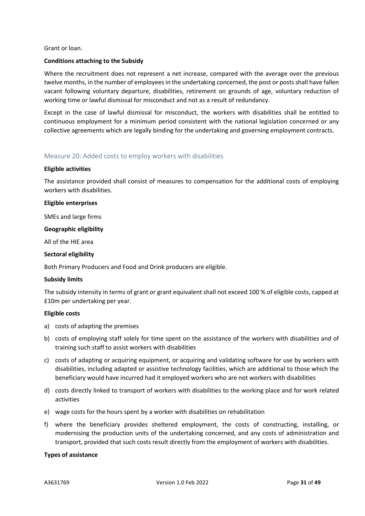#### Grant or loan.

## **Conditions attaching to the Subsidy**

Where the recruitment does not represent a net increase, compared with the average over the previous twelve months, in the number of employees in the undertaking concerned, the post or posts shall have fallen vacant following voluntary departure, disabilities, retirement on grounds of age, voluntary reduction of working time or lawful dismissal for misconduct and not as a result of redundancy.

Except in the case of lawful dismissal for misconduct, the workers with disabilities shall be entitled to continuous employment for a minimum period consistent with the national legislation concerned or any collective agreements which are legally binding for the undertaking and governing employment contracts.

# <span id="page-30-0"></span>Measure 20: Added costs to employ workers with disabilities

#### **Eligible activities**

The assistance provided shall consist of measures to compensation for the additional costs of employing workers with disabilities.

#### **Eligible enterprises**

SMEs and large firms

#### **Geographic eligibility**

All of the HIE area

#### **Sectoral eligibility**

Both Primary Producers and Food and Drink producers are eligible.

#### **Subsidy limits**

The subsidy intensity in terms of grant or grant equivalent shall not exceed 100 % of eligible costs, capped at £10m per undertaking per year.

#### **Eligible costs**

- a) costs of adapting the premises
- b) costs of employing staff solely for time spent on the assistance of the workers with disabilities and of training such staff to assist workers with disabilities
- c) costs of adapting or acquiring equipment, or acquiring and validating software for use by workers with disabilities, including adapted or assistive technology facilities, which are additional to those which the beneficiary would have incurred had it employed workers who are not workers with disabilities
- d) costs directly linked to transport of workers with disabilities to the working place and for work related activities
- e) wage costs for the hours spent by a worker with disabilities on rehabilitation
- f) where the beneficiary provides sheltered employment, the costs of constructing, installing, or modernising the production units of the undertaking concerned, and any costs of administration and transport, provided that such costs result directly from the employment of workers with disabilities.

#### **Types of assistance**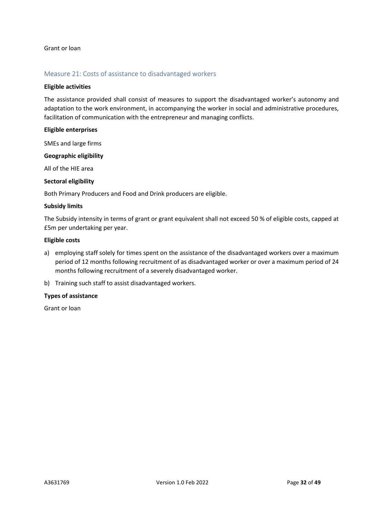#### Grant or loan

# <span id="page-31-0"></span>Measure 21: Costs of assistance to disadvantaged workers

#### **Eligible activities**

The assistance provided shall consist of measures to support the disadvantaged worker's autonomy and adaptation to the work environment, in accompanying the worker in social and administrative procedures, facilitation of communication with the entrepreneur and managing conflicts.

#### **Eligible enterprises**

SMEs and large firms

#### **Geographic eligibility**

All of the HIE area

#### **Sectoral eligibility**

Both Primary Producers and Food and Drink producers are eligible.

#### **Subsidy limits**

The Subsidy intensity in terms of grant or grant equivalent shall not exceed 50 % of eligible costs, capped at £5m per undertaking per year.

### **Eligible costs**

- a) employing staff solely for times spent on the assistance of the disadvantaged workers over a maximum period of 12 months following recruitment of as disadvantaged worker or over a maximum period of 24 months following recruitment of a severely disadvantaged worker.
- b) Training such staff to assist disadvantaged workers.

# **Types of assistance**

Grant or loan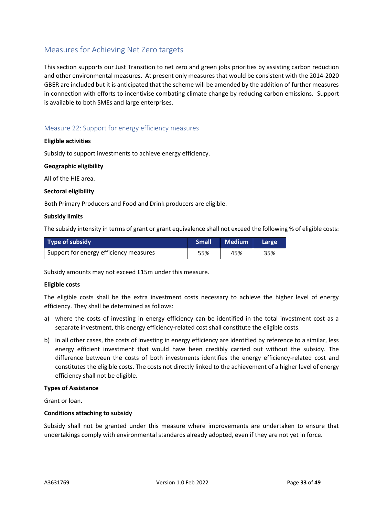# <span id="page-32-0"></span>Measures for Achieving Net Zero targets

This section supports our Just Transition to net zero and green jobs priorities by assisting carbon reduction and other environmental measures. At present only measures that would be consistent with the 2014-2020 GBER are included but it is anticipated that the scheme will be amended by the addition of further measures in connection with efforts to incentivise combating climate change by reducing carbon emissions. Support is available to both SMEs and large enterprises.

# <span id="page-32-1"></span>Measure 22: Support for energy efficiency measures

# **Eligible activities**

Subsidy to support investments to achieve energy efficiency.

# **Geographic eligibility**

All of the HIE area.

#### **Sectoral eligibility**

Both Primary Producers and Food and Drink producers are eligible.

#### **Subsidy limits**

The subsidy intensity in terms of grant or grant equivalence shall not exceed the following % of eligible costs:

| Type of subsidy                        |     | Small Medium Large |     |
|----------------------------------------|-----|--------------------|-----|
| Support for energy efficiency measures | 55% | 45%                | 35% |

Subsidy amounts may not exceed £15m under this measure.

# **Eligible costs**

The eligible costs shall be the extra investment costs necessary to achieve the higher level of energy efficiency. They shall be determined as follows:

- a) where the costs of investing in energy efficiency can be identified in the total investment cost as a separate investment, this energy efficiency-related cost shall constitute the eligible costs.
- b) in all other cases, the costs of investing in energy efficiency are identified by reference to a similar, less energy efficient investment that would have been credibly carried out without the subsidy. The difference between the costs of both investments identifies the energy efficiency-related cost and constitutes the eligible costs. The costs not directly linked to the achievement of a higher level of energy efficiency shall not be eligible.

#### **Types of Assistance**

Grant or loan.

# **Conditions attaching to subsidy**

Subsidy shall not be granted under this measure where improvements are undertaken to ensure that undertakings comply with environmental standards already adopted, even if they are not yet in force.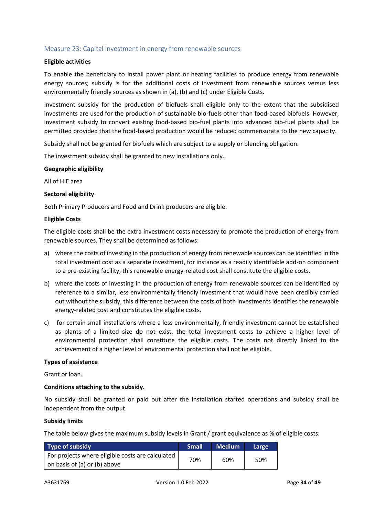# <span id="page-33-0"></span>Measure 23: Capital investment in energy from renewable sources

## **Eligible activities**

To enable the beneficiary to install power plant or heating facilities to produce energy from renewable energy sources; subsidy is for the additional costs of investment from renewable sources versus less environmentally friendly sources as shown in (a), (b) and (c) under Eligible Costs.

Investment subsidy for the production of biofuels shall eligible only to the extent that the subsidised investments are used for the production of sustainable bio-fuels other than food-based biofuels. However, investment subsidy to convert existing food-based bio-fuel plants into advanced bio-fuel plants shall be permitted provided that the food-based production would be reduced commensurate to the new capacity.

Subsidy shall not be granted for biofuels which are subject to a supply or blending obligation.

The investment subsidy shall be granted to new installations only.

#### **Geographic eligibility**

All of HIE area

#### **Sectoral eligibility**

Both Primary Producers and Food and Drink producers are eligible.

#### **Eligible Costs**

The eligible costs shall be the extra investment costs necessary to promote the production of energy from renewable sources. They shall be determined as follows:

- a) where the costs of investing in the production of energy from renewable sources can be identified in the total investment cost as a separate investment, for instance as a readily identifiable add-on component to a pre-existing facility, this renewable energy-related cost shall constitute the eligible costs.
- b) where the costs of investing in the production of energy from renewable sources can be identified by reference to a similar, less environmentally friendly investment that would have been credibly carried out without the subsidy, this difference between the costs of both investments identifies the renewable energy-related cost and constitutes the eligible costs.
- c) for certain small installations where a less environmentally, friendly investment cannot be established as plants of a limited size do not exist, the total investment costs to achieve a higher level of environmental protection shall constitute the eligible costs. The costs not directly linked to the achievement of a higher level of environmental protection shall not be eligible.

#### **Types of assistance**

Grant or loan.

#### **Conditions attaching to the subsidy.**

No subsidy shall be granted or paid out after the installation started operations and subsidy shall be independent from the output.

#### **Subsidy limits**

The table below gives the maximum subsidy levels in Grant / grant equivalence as % of eligible costs:

| Type of subsidy                                  | <b>Small</b> | $\blacksquare$ Medium $\blacksquare$ | Large |
|--------------------------------------------------|--------------|--------------------------------------|-------|
| For projects where eligible costs are calculated | 70%          | 60%                                  |       |
| on basis of (a) or (b) above                     |              |                                      | 50%   |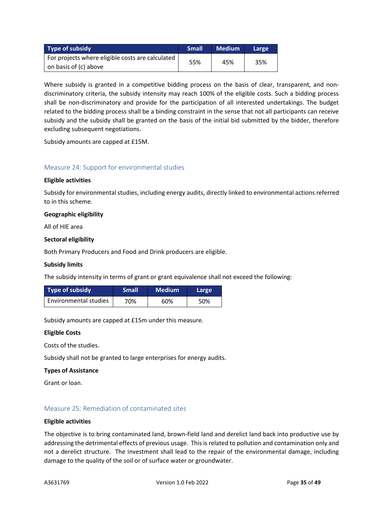| Type of subsidy                                  | <b>Small</b> | <b>Medium</b> | Large |
|--------------------------------------------------|--------------|---------------|-------|
| For projects where eligible costs are calculated | 55%          | 45%           | 35%   |
| on basis of (c) above                            |              |               |       |

Where subsidy is granted in a competitive bidding process on the basis of clear, transparent, and nondiscriminatory criteria, the subsidy intensity may reach 100% of the eligible costs. Such a bidding process shall be non-discriminatory and provide for the participation of all interested undertakings. The budget related to the bidding process shall be a binding constraint in the sense that not all participants can receive subsidy and the subsidy shall be granted on the basis of the initial bid submitted by the bidder, therefore excluding subsequent negotiations.

Subsidy amounts are capped at £15M.

# <span id="page-34-0"></span>Measure 24: Support for environmental studies

#### **Eligible activities**

Subsidy for environmental studies, including energy audits, directly linked to environmental actions referred to in this scheme.

#### **Geographic eligibility**

All of HIE area

#### **Sectoral eligibility**

Both Primary Producers and Food and Drink producers are eligible.

#### **Subsidy limits**

The subsidy intensity in terms of grant or grant equivalence shall not exceed the following:

| <b>Type of subsidy</b> | <b>Small</b> | <b>Medium</b> | Large |
|------------------------|--------------|---------------|-------|
| Environmental studies  | 70%          | 60%           | 50%   |

Subsidy amounts are capped at £15m under this measure.

### **Eligible Costs**

Costs of the studies.

Subsidy shall not be granted to large enterprises for energy audits.

#### **Types of Assistance**

Grant or loan.

# <span id="page-34-1"></span>Measure 25: Remediation of contaminated sites

#### **Eligible activities**

The objective is to bring contaminated land, brown-field land and derelict land back into productive use by addressing the detrimental effects of previous usage. This is related to pollution and contamination only and not a derelict structure. The investment shall lead to the repair of the environmental damage, including damage to the quality of the soil or of surface water or groundwater.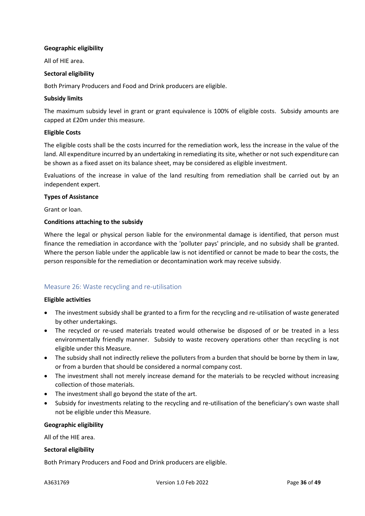## **Geographic eligibility**

All of HIE area.

#### **Sectoral eligibility**

Both Primary Producers and Food and Drink producers are eligible.

#### **Subsidy limits**

The maximum subsidy level in grant or grant equivalence is 100% of eligible costs. Subsidy amounts are capped at £20m under this measure.

#### **Eligible Costs**

The eligible costs shall be the costs incurred for the remediation work, less the increase in the value of the land. All expenditure incurred by an undertaking in remediating its site, whether or not such expenditure can be shown as a fixed asset on its balance sheet, may be considered as eligible investment.

Evaluations of the increase in value of the land resulting from remediation shall be carried out by an independent expert.

#### **Types of Assistance**

Grant or loan.

#### **Conditions attaching to the subsidy**

Where the legal or physical person liable for the environmental damage is identified, that person must finance the remediation in accordance with the 'polluter pays' principle, and no subsidy shall be granted. Where the person liable under the applicable law is not identified or cannot be made to bear the costs, the person responsible for the remediation or decontamination work may receive subsidy.

# <span id="page-35-0"></span>Measure 26: Waste recycling and re-utilisation

#### **Eligible activities**

- The investment subsidy shall be granted to a firm for the recycling and re-utilisation of waste generated by other undertakings.
- The recycled or re-used materials treated would otherwise be disposed of or be treated in a less environmentally friendly manner. Subsidy to waste recovery operations other than recycling is not eligible under this Measure.
- The subsidy shall not indirectly relieve the polluters from a burden that should be borne by them in law, or from a burden that should be considered a normal company cost.
- The investment shall not merely increase demand for the materials to be recycled without increasing collection of those materials.
- The investment shall go beyond the state of the art.
- Subsidy for investments relating to the recycling and re-utilisation of the beneficiary's own waste shall not be eligible under this Measure.

#### **Geographic eligibility**

All of the HIE area.

#### **Sectoral eligibility**

Both Primary Producers and Food and Drink producers are eligible.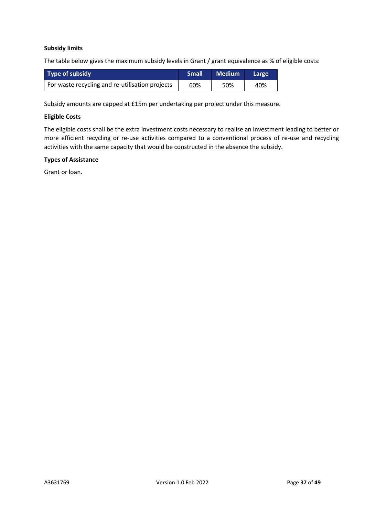# **Subsidy limits**

The table below gives the maximum subsidy levels in Grant / grant equivalence as % of eligible costs:

| Type of subsidy                                 | <b>Small</b> | Medium | Large |
|-------------------------------------------------|--------------|--------|-------|
| For waste recycling and re-utilisation projects | 60%          | 50%    | 40%   |

Subsidy amounts are capped at £15m per undertaking per project under this measure.

# **Eligible Costs**

The eligible costs shall be the extra investment costs necessary to realise an investment leading to better or more efficient recycling or re-use activities compared to a conventional process of re-use and recycling activities with the same capacity that would be constructed in the absence the subsidy.

# **Types of Assistance**

Grant or loan.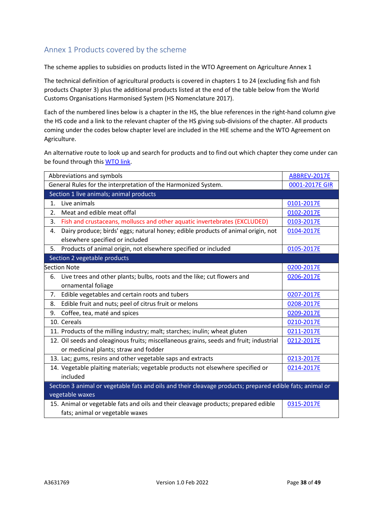# <span id="page-37-0"></span>Annex 1 Products covered by the scheme

The scheme applies to subsidies on products listed in the WTO Agreement on Agriculture Annex 1

The technical definition of agricultural products is covered in chapters 1 to 24 (excluding fish and fish products Chapter 3) plus the additional products listed at the end of the table below from the World Customs Organisations Harmonised System (HS Nomenclature 2017).

Each of the numbered lines below is a chapter in the HS, the blue references in the right-hand column give the HS code and a link to the relevant chapter of the HS giving sub-divisions of the chapter. All products coming under the codes below chapter level are included in the HIE scheme and the WTO Agreement on Agriculture.

An alternative route to look up and search for products and to find out which chapter they come under can be found through this [WTO link.](http://tariffdata.wto.org/ReportersAndProducts.aspx)

| Abbreviations and symbols                                                                                                 | ABBREV-2017E   |  |  |  |
|---------------------------------------------------------------------------------------------------------------------------|----------------|--|--|--|
| General Rules for the interpretation of the Harmonized System.                                                            | 0001-2017E GIR |  |  |  |
| Section 1 live animals; animal products                                                                                   |                |  |  |  |
| Live animals<br>1.                                                                                                        | 0101-2017E     |  |  |  |
| Meat and edible meat offal<br>2.                                                                                          | 0102-2017E     |  |  |  |
| Fish and crustaceans, molluscs and other aquatic invertebrates (EXCLUDED)<br>3.                                           | 0103-2017E     |  |  |  |
| Dairy produce; birds' eggs; natural honey; edible products of animal origin, not<br>4.<br>elsewhere specified or included | 0104-2017E     |  |  |  |
| Products of animal origin, not elsewhere specified or included<br>5.                                                      | 0105-2017E     |  |  |  |
| Section 2 vegetable products                                                                                              |                |  |  |  |
| <b>Section Note</b>                                                                                                       | 0200-2017E     |  |  |  |
| Live trees and other plants; bulbs, roots and the like; cut flowers and<br>6.                                             | 0206-2017E     |  |  |  |
| ornamental foliage                                                                                                        |                |  |  |  |
| Edible vegetables and certain roots and tubers<br>7.                                                                      | 0207-2017E     |  |  |  |
| Edible fruit and nuts; peel of citrus fruit or melons<br>8.                                                               | 0208-2017E     |  |  |  |
| Coffee, tea, maté and spices<br>9.                                                                                        | 0209-2017E     |  |  |  |
| 10. Cereals                                                                                                               | 0210-2017E     |  |  |  |
| 11. Products of the milling industry; malt; starches; inulin; wheat gluten                                                | 0211-2017E     |  |  |  |
| 12. Oil seeds and oleaginous fruits; miscellaneous grains, seeds and fruit; industrial                                    | 0212-2017E     |  |  |  |
| or medicinal plants; straw and fodder                                                                                     |                |  |  |  |
| 13. Lac; gums, resins and other vegetable saps and extracts                                                               | 0213-2017E     |  |  |  |
| 14. Vegetable plaiting materials; vegetable products not elsewhere specified or                                           | 0214-2017E     |  |  |  |
| included                                                                                                                  |                |  |  |  |
| Section 3 animal or vegetable fats and oils and their cleavage products; prepared edible fats; animal or                  |                |  |  |  |
| vegetable waxes                                                                                                           |                |  |  |  |
| 15. Animal or vegetable fats and oils and their cleavage products; prepared edible                                        | 0315-2017E     |  |  |  |
| fats; animal or vegetable waxes                                                                                           |                |  |  |  |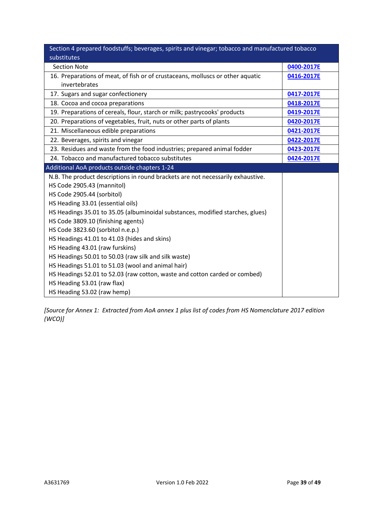| Section 4 prepared foodstuffs; beverages, spirits and vinegar; tobacco and manufactured tobacco |            |
|-------------------------------------------------------------------------------------------------|------------|
| substitutes                                                                                     |            |
| <b>Section Note</b>                                                                             | 0400-2017E |
| 16. Preparations of meat, of fish or of crustaceans, molluscs or other aquatic                  | 0416-2017E |
| invertebrates                                                                                   |            |
| 17. Sugars and sugar confectionery                                                              | 0417-2017E |
| 18. Cocoa and cocoa preparations                                                                | 0418-2017E |
| 19. Preparations of cereals, flour, starch or milk; pastrycooks' products                       | 0419-2017E |
| 20. Preparations of vegetables, fruit, nuts or other parts of plants                            | 0420-2017E |
| 21. Miscellaneous edible preparations                                                           | 0421-2017E |
| 22. Beverages, spirits and vinegar                                                              | 0422-2017E |
| 23. Residues and waste from the food industries; prepared animal fodder                         | 0423-2017E |
| 24. Tobacco and manufactured tobacco substitutes                                                | 0424-2017E |
| Additional AoA products outside chapters 1-24                                                   |            |
| N.B. The product descriptions in round brackets are not necessarily exhaustive.                 |            |
| HS Code 2905.43 (mannitol)                                                                      |            |
| HS Code 2905.44 (sorbitol)                                                                      |            |
| HS Heading 33.01 (essential oils)                                                               |            |
| HS Headings 35.01 to 35.05 (albuminoidal substances, modified starches, glues)                  |            |
| HS Code 3809.10 (finishing agents)                                                              |            |
| HS Code 3823.60 (sorbitol n.e.p.)                                                               |            |
| HS Headings 41.01 to 41.03 (hides and skins)                                                    |            |
| HS Heading 43.01 (raw furskins)                                                                 |            |
| HS Headings 50.01 to 50.03 (raw silk and silk waste)                                            |            |
| HS Headings 51.01 to 51.03 (wool and animal hair)                                               |            |
| HS Headings 52.01 to 52.03 (raw cotton, waste and cotton carded or combed)                      |            |
| HS Heading 53.01 (raw flax)                                                                     |            |
| HS Heading 53.02 (raw hemp)                                                                     |            |

*[Source for Annex 1: Extracted from AoA annex 1 plus list of codes from HS Nomenclature 2017 edition (WCO)]*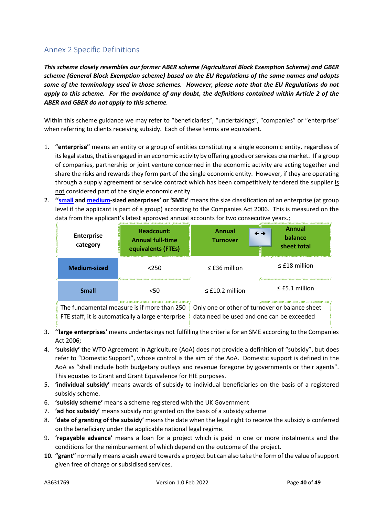# <span id="page-39-0"></span>Annex 2 Specific Definitions

*This scheme closely resembles our former ABER scheme (Agricultural Block Exemption Scheme) and GBER scheme (General Block Exemption scheme) based on the EU Regulations of the same names and adopts some of the terminology used in those schemes. However, please note that the EU Regulations do not apply to this scheme. For the avoidance of any doubt, the definitions contained within Article 2 of the ABER and GBER do not apply to this scheme.*

Within this scheme guidance we may refer to "beneficiaries", "undertakings", "companies" or "enterprise" when referring to clients receiving subsidy. Each of these terms are equivalent.

- 1. **"enterprise"** means an entity or a group of entities constituting a single economic entity, regardless of its legal status, that is engaged in an economic activity by offering goods or services ona market. If a group of companies, partnership or joint venture concerned in the economic activity are acting together and share the risks and rewards they form part of the single economic entity. However, if they are operating through a supply agreement or service contract which has been competitively tendered the supplier is not considered part of the single economic entity.
- 2. **''[small](https://www.legislation.gov.uk/ukpga/2006/46/section/382) and [medium-](https://www.legislation.gov.uk/ukpga/2006/46/section/465)sized enterprises' or 'SMEs'** means the size classification of an enterprise (at group level if the applicant is part of a group) according to the Companies Act 2006. This is measured on the data from the applicant's latest approved annual accounts for two consecutive years.;

| <b>Enterprise</b><br>category | <b>Headcount:</b><br><b>Annual full-time</b><br>equivalents (FTEs) | <b>Annual</b><br><b>Turnover</b> | <b>Annual</b><br>$\leftrightarrow$<br>balance<br>sheet total |
|-------------------------------|--------------------------------------------------------------------|----------------------------------|--------------------------------------------------------------|
| <b>Medium-sized</b>           | < 250                                                              | $\leq$ £36 million               | $\leq$ £18 million                                           |
| <b>Small</b>                  | < 50                                                               | $\le$ £10.2 million              | $\le$ £5.1 million                                           |
|                               | The fundamental measure is if mens than<br>$\cap$                  |                                  | Only and an attack of two ayou an laborate about             |

FTE staff, it is automatically a large enterprise

The fundamental measure is if more than 250 Only one or other of turnover or balance sheet data need be used and one can be exceeded

- 3. **''large enterprises'** means undertakings not fulfilling the criteria for an SME according to the Companies Act 2006;
- 4. **'subsidy'** the WTO Agreement in Agriculture (AoA) does not provide a definition of "subsidy", but does refer to "Domestic Support", whose control is the aim of the AoA. Domestic support is defined in the AoA as "shall include both budgetary outlays and revenue foregone by governments or their agents". This equates to Grant and Grant Equivalence for HIE purposes.
- 5. **'individual subsidy'** means awards of subsidy to individual beneficiaries on the basis of a registered subsidy scheme.
- 6. **'subsidy scheme'** means a scheme registered with the UK Government
- 7. **'ad hoc subsidy'** means subsidy not granted on the basis of a subsidy scheme
- 8. **'date of granting of the subsidy'** means the date when the legal right to receive the subsidy is conferred on the beneficiary under the applicable national legal regime.
- 9. **'repayable advance'** means a loan for a project which is paid in one or more instalments and the conditions for the reimbursement of which depend on the outcome of the project.
- **10. "grant"** normally means a cash award towards a project but can also take the form of the value of support given free of charge or subsidised services.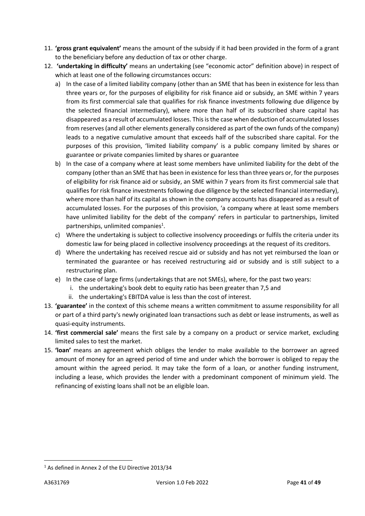- 11. **'gross grant equivalent'** means the amount of the subsidy if it had been provided in the form of a grant to the beneficiary before any deduction of tax or other charge.
- 12. **'undertaking in difficulty'** means an undertaking (see "economic actor" definition above) in respect of which at least one of the following circumstances occurs:
	- a) In the case of a limited liability company (other than an SME that has been in existence for less than three years or, for the purposes of eligibility for risk finance aid or subsidy, an SME within 7 years from its first commercial sale that qualifies for risk finance investments following due diligence by the selected financial intermediary), where more than half of its subscribed share capital has disappeared as a result of accumulated losses. This is the case when deduction of accumulated losses from reserves (and all other elements generally considered as part of the own funds of the company) leads to a negative cumulative amount that exceeds half of the subscribed share capital. For the purposes of this provision, 'limited liability company' is a public company limited by shares or guarantee or private companies limited by shares or guarantee
	- b) In the case of a company where at least some members have unlimited liability for the debt of the company (other than an SME that has been in existence for less than three years or, for the purposes of eligibility for risk finance aid or subsidy, an SME within 7 years from its first commercial sale that qualifies for risk finance investments following due diligence by the selected financial intermediary), where more than half of its capital as shown in the company accounts has disappeared as a result of accumulated losses. For the purposes of this provision, 'a company where at least some members have unlimited liability for the debt of the company' refers in particular to partnerships, limited partnerships, unlimited companies<sup>1</sup>.
	- c) Where the undertaking is subject to collective insolvency proceedings or fulfils the criteria under its domestic law for being placed in collective insolvency proceedings at the request of its creditors.
	- d) Where the undertaking has received rescue aid or subsidy and has not yet reimbursed the loan or terminated the guarantee or has received restructuring aid or subsidy and is still subject to a restructuring plan.
	- e) In the case of large firms (undertakings that are not SMEs), where, for the past two years:
		- i. the undertaking's book debt to equity ratio has been greater than 7,5 and
		- ii. the undertaking's EBITDA value is less than the cost of interest.
- 13. **'guarantee'** in the context of this scheme means a written commitment to assume responsibility for all or part of a third party's newly originated loan transactions such as debt or lease instruments, as well as quasi-equity instruments.
- 14. **'first commercial sale'** means the first sale by a company on a product or service market, excluding limited sales to test the market.
- 15. **'loan'** means an agreement which obliges the lender to make available to the borrower an agreed amount of money for an agreed period of time and under which the borrower is obliged to repay the amount within the agreed period. It may take the form of a loan, or another funding instrument, including a lease, which provides the lender with a predominant component of minimum yield. The refinancing of existing loans shall not be an eligible loan.

<sup>&</sup>lt;sup>1</sup> As defined in Annex 2 of the EU Directive 2013/34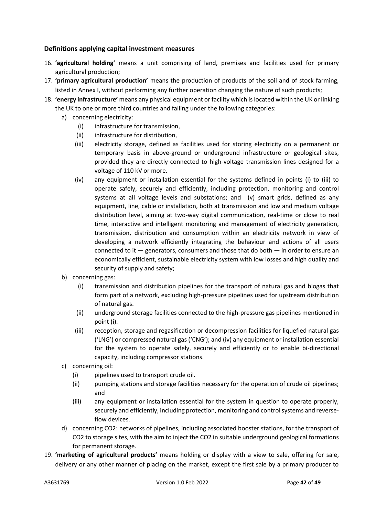# **Definitions applying capital investment measures**

- 16. **'agricultural holding'** means a unit comprising of land, premises and facilities used for primary agricultural production;
- 17. **'primary agricultural production'** means the production of products of the soil and of stock farming, listed in Annex I, without performing any further operation changing the nature of such products;
- 18. **'energy infrastructure'** means any physical equipment or facility which is located within the UK or linking the UK to one or more third countries and falling under the following categories:
	- a) concerning electricity:
		- (i) infrastructure for transmission,
		- (ii) infrastructure for distribution,
		- (iii) electricity storage, defined as facilities used for storing electricity on a permanent or temporary basis in above-ground or underground infrastructure or geological sites, provided they are directly connected to high-voltage transmission lines designed for a voltage of 110 kV or more.
		- (iv) any equipment or installation essential for the systems defined in points (i) to (iii) to operate safely, securely and efficiently, including protection, monitoring and control systems at all voltage levels and substations; and (v) smart grids, defined as any equipment, line, cable or installation, both at transmission and low and medium voltage distribution level, aiming at two-way digital communication, real-time or close to real time, interactive and intelligent monitoring and management of electricity generation, transmission, distribution and consumption within an electricity network in view of developing a network efficiently integrating the behaviour and actions of all users connected to it — generators, consumers and those that do both — in order to ensure an economically efficient, sustainable electricity system with low losses and high quality and security of supply and safety;
	- b) concerning gas:
		- (i) transmission and distribution pipelines for the transport of natural gas and biogas that form part of a network, excluding high-pressure pipelines used for upstream distribution of natural gas.
		- (ii) underground storage facilities connected to the high-pressure gas pipelines mentioned in point (i).
		- (iii) reception, storage and regasification or decompression facilities for liquefied natural gas ('LNG') or compressed natural gas ('CNG'); and (iv) any equipment or installation essential for the system to operate safely, securely and efficiently or to enable bi-directional capacity, including compressor stations.
	- c) concerning oil:
		- (i) pipelines used to transport crude oil.
		- (ii) pumping stations and storage facilities necessary for the operation of crude oil pipelines; and
		- (iii) any equipment or installation essential for the system in question to operate properly, securely and efficiently, including protection, monitoring and control systems and reverseflow devices.
	- d) concerning CO2: networks of pipelines, including associated booster stations, for the transport of CO2 to storage sites, with the aim to inject the CO2 in suitable underground geological formations for permanent storage.
- 19. **'marketing of agricultural products'** means holding or display with a view to sale, offering for sale, delivery or any other manner of placing on the market, except the first sale by a primary producer to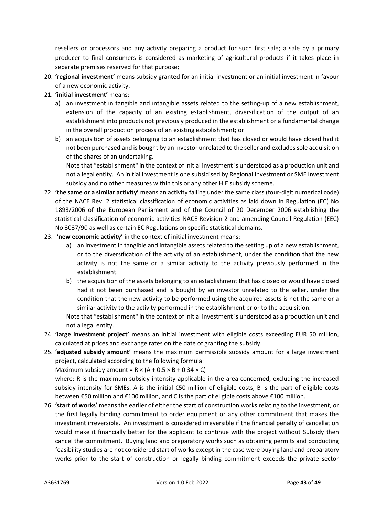resellers or processors and any activity preparing a product for such first sale; a sale by a primary producer to final consumers is considered as marketing of agricultural products if it takes place in separate premises reserved for that purpose;

- 20. **'regional investment'** means subsidy granted for an initial investment or an initial investment in favour of a new economic activity.
- 21. **'initial investment'** means:
	- a) an investment in tangible and intangible assets related to the setting-up of a new establishment, extension of the capacity of an existing establishment, diversification of the output of an establishment into products not previously produced in the establishment or a fundamental change in the overall production process of an existing establishment; or
	- b) an acquisition of assets belonging to an establishment that has closed or would have closed had it not been purchased and is bought by an investor unrelated to the seller and excludes sole acquisition of the shares of an undertaking.

Note that "establishment" in the context of initial investment is understood as a production unit and not a legal entity. An initial investment is one subsidised by Regional Investment or SME Investment subsidy and no other measures within this or any other HIE subsidy scheme.

- 22. **'the same or a similar activity'** means an activity falling under the same class (four-digit numerical code) of the NACE Rev. 2 statistical classification of economic activities as laid down in Regulation (EC) No 1893/2006 of the European Parliament and of the Council of 20 December 2006 establishing the statistical classification of economic activities NACE Revision 2 and amending Council Regulation (EEC) No 3037/90 as well as certain EC Regulations on specific statistical domains.
- 23. **'new economic activity'** in the context of initial investment means:
	- a) an investment in tangible and intangible assets related to the setting up of a new establishment, or to the diversification of the activity of an establishment, under the condition that the new activity is not the same or a similar activity to the activity previously performed in the establishment.
	- b) the acquisition of the assets belonging to an establishment that has closed or would have closed had it not been purchased and is bought by an investor unrelated to the seller, under the condition that the new activity to be performed using the acquired assets is not the same or a similar activity to the activity performed in the establishment prior to the acquisition.

Note that "establishment" in the context of initial investment is understood as a production unit and not a legal entity.

- 24. **'large investment project'** means an initial investment with eligible costs exceeding EUR 50 million, calculated at prices and exchange rates on the date of granting the subsidy.
- 25. **'adjusted subsidy amount'** means the maximum permissible subsidy amount for a large investment project, calculated according to the following formula:

Maximum subsidy amount =  $R \times (A + 0.5 \times B + 0.34 \times C)$ 

where: R is the maximum subsidy intensity applicable in the area concerned, excluding the increased subsidy intensity for SMEs. A is the initial €50 million of eligible costs, B is the part of eligible costs between €50 million and €100 million, and C is the part of eligible costs above €100 million.

26. **'start of works'** means the earlier of either the start of construction works relating to the investment, or the first legally binding commitment to order equipment or any other commitment that makes the investment irreversible. An investment is considered irreversible if the financial penalty of cancellation would make it financially better for the applicant to continue with the project without Subsidy then cancel the commitment. Buying land and preparatory works such as obtaining permits and conducting feasibility studies are not considered start of works except in the case were buying land and preparatory works prior to the start of construction or legally binding commitment exceeds the private sector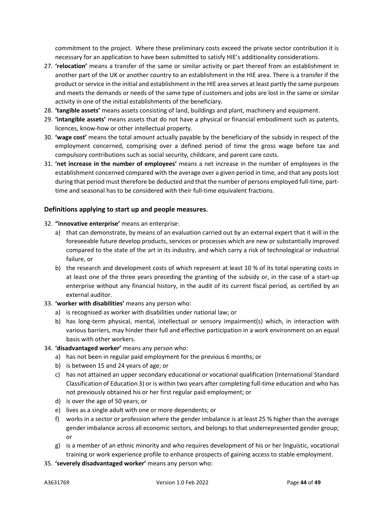commitment to the project. Where these preliminary costs exceed the private sector contribution it is necessary for an application to have been submitted to satisfy HIE's additionality considerations.

- 27. **'relocation'** means a transfer of the same or similar activity or part thereof from an establishment in another part of the UK or another country to an establishment in the HIE area. There is a transfer if the product or service in the initial and establishment in the HIE area serves at least partly the same purposes and meets the demands or needs of the same type of customers and jobs are lost in the same or similar activity in one of the initial establishments of the beneficiary.
- 28. **'tangible assets'** means assets consisting of land, buildings and plant, machinery and equipment.
- 29. **'intangible assets'** means assets that do not have a physical or financial embodiment such as patents, licences, know-how or other intellectual property.
- 30. **'wage cost'** means the total amount actually payable by the beneficiary of the subsidy in respect of the employment concerned, comprising over a defined period of time the gross wage before tax and compulsory contributions such as social security, childcare, and parent care costs.
- 31. **'net increase in the number of employees'** means a net increase in the number of employees in the establishment concerned compared with the average over a given period in time, and that any posts lost during that period must therefore be deducted and that the number of persons employed full-time, parttime and seasonal has to be considered with their full-time equivalent fractions.

# **Definitions applying to start up and people measures.**

# 32. **"innovative enterprise'** means an enterprise:

- a) that can demonstrate, by means of an evaluation carried out by an external expert that it will in the foreseeable future develop products, services or processes which are new or substantially improved compared to the state of the art in its industry, and which carry a risk of technological or industrial failure, or
- b) the research and development costs of which represent at least 10 % of its total operating costs in at least one of the three years preceding the granting of the subsidy or, in the case of a start-up enterprise without any financial history, in the audit of its current fiscal period, as certified by an external auditor.
- 33. **'worker with disabilities'** means any person who:
	- a) is recognised as worker with disabilities under national law; or
	- b) has long-term physical, mental, intellectual or sensory impairment(s) which, in interaction with various barriers, may hinder their full and effective participation in a work environment on an equal basis with other workers.
- 34. **'disadvantaged worker'** means any person who:
	- a) has not been in regular paid employment for the previous 6 months; or
	- b) is between 15 and 24 years of age; or
	- c) has not attained an upper secondary educational or vocational qualification (International Standard Classification of Education 3) or is within two years after completing full-time education and who has not previously obtained his or her first regular paid employment; or
	- d) is over the age of 50 years; or
	- e) lives as a single adult with one or more dependents; or
	- f) works in a sector or profession where the gender imbalance is at least 25 % higher than the average gender imbalance across all economic sectors, and belongs to that underrepresented gender group; or
	- g) is a member of an ethnic minority and who requires development of his or her linguistic, vocational training or work experience profile to enhance prospects of gaining access to stable employment.
- 35. **'severely disadvantaged worker'** means any person who: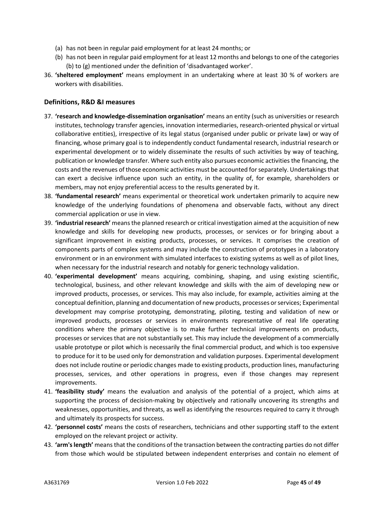- (a) has not been in regular paid employment for at least 24 months; or
- (b) has not been in regular paid employment for at least 12 months and belongs to one of the categories (b) to (g) mentioned under the definition of 'disadvantaged worker'.
- 36. **'sheltered employment'** means employment in an undertaking where at least 30 % of workers are workers with disabilities.

# **Definitions, R&D &I measures**

- 37. **'research and knowledge-dissemination organisation'** means an entity (such as universities or research institutes, technology transfer agencies, innovation intermediaries, research-oriented physical or virtual collaborative entities), irrespective of its legal status (organised under public or private law) or way of financing, whose primary goal is to independently conduct fundamental research, industrial research or experimental development or to widely disseminate the results of such activities by way of teaching, publication or knowledge transfer. Where such entity also pursues economic activities the financing, the costs and the revenues of those economic activities must be accounted for separately. Undertakings that can exert a decisive influence upon such an entity, in the quality of, for example, shareholders or members, may not enjoy preferential access to the results generated by it.
- 38. **'fundamental research'** means experimental or theoretical work undertaken primarily to acquire new knowledge of the underlying foundations of phenomena and observable facts, without any direct commercial application or use in view.
- 39. **'industrial research'** means the planned research or critical investigation aimed at the acquisition of new knowledge and skills for developing new products, processes, or services or for bringing about a significant improvement in existing products, processes, or services. It comprises the creation of components parts of complex systems and may include the construction of prototypes in a laboratory environment or in an environment with simulated interfaces to existing systems as well as of pilot lines, when necessary for the industrial research and notably for generic technology validation.
- 40. **'experimental development'** means acquiring, combining, shaping, and using existing scientific, technological, business, and other relevant knowledge and skills with the aim of developing new or improved products, processes, or services. This may also include, for example, activities aiming at the conceptual definition, planning and documentation of new products, processes or services; Experimental development may comprise prototyping, demonstrating, piloting, testing and validation of new or improved products, processes or services in environments representative of real life operating conditions where the primary objective is to make further technical improvements on products, processes or services that are not substantially set. This may include the development of a commercially usable prototype or pilot which is necessarily the final commercial product, and which is too expensive to produce for it to be used only for demonstration and validation purposes. Experimental development does not include routine or periodic changes made to existing products, production lines, manufacturing processes, services, and other operations in progress, even if those changes may represent improvements.
- 41. **'feasibility study'** means the evaluation and analysis of the potential of a project, which aims at supporting the process of decision-making by objectively and rationally uncovering its strengths and weaknesses, opportunities, and threats, as well as identifying the resources required to carry it through and ultimately its prospects for success.
- 42. **'personnel costs'** means the costs of researchers, technicians and other supporting staff to the extent employed on the relevant project or activity.
- 43. **'arm's length'** means that the conditions of the transaction between the contracting parties do not differ from those which would be stipulated between independent enterprises and contain no element of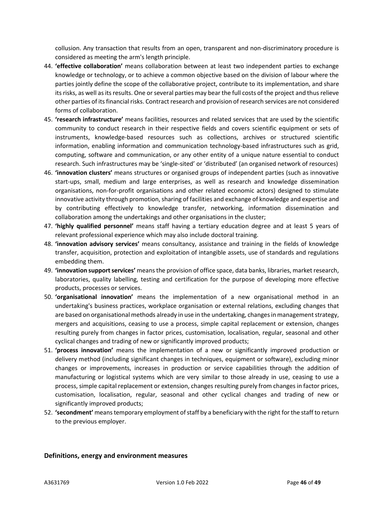collusion. Any transaction that results from an open, transparent and non-discriminatory procedure is considered as meeting the arm's length principle.

- 44. **'effective collaboration'** means collaboration between at least two independent parties to exchange knowledge or technology, or to achieve a common objective based on the division of labour where the parties jointly define the scope of the collaborative project, contribute to its implementation, and share its risks, as well as its results. One or several parties may bear the full costs of the project and thus relieve other parties of its financial risks. Contract research and provision of research services are not considered forms of collaboration.
- 45. **'research infrastructure'** means facilities, resources and related services that are used by the scientific community to conduct research in their respective fields and covers scientific equipment or sets of instruments, knowledge-based resources such as collections, archives or structured scientific information, enabling information and communication technology-based infrastructures such as grid, computing, software and communication, or any other entity of a unique nature essential to conduct research. Such infrastructures may be 'single-sited' or 'distributed' (an organised network of resources)
- 46. **'innovation clusters'** means structures or organised groups of independent parties (such as innovative start-ups, small, medium and large enterprises, as well as research and knowledge dissemination organisations, non-for-profit organisations and other related economic actors) designed to stimulate innovative activity through promotion, sharing of facilities and exchange of knowledge and expertise and by contributing effectively to knowledge transfer, networking, information dissemination and collaboration among the undertakings and other organisations in the cluster;
- 47. **'highly qualified personnel'** means staff having a tertiary education degree and at least 5 years of relevant professional experience which may also include doctoral training.
- 48. **'innovation advisory services'** means consultancy, assistance and training in the fields of knowledge transfer, acquisition, protection and exploitation of intangible assets, use of standards and regulations embedding them.
- 49. **'innovation support services'** means the provision of office space, data banks, libraries, market research, laboratories, quality labelling, testing and certification for the purpose of developing more effective products, processes or services.
- 50. **'organisational innovation'** means the implementation of a new organisational method in an undertaking's business practices, workplace organisation or external relations, excluding changes that are based on organisational methods already in use in the undertaking, changes in management strategy, mergers and acquisitions, ceasing to use a process, simple capital replacement or extension, changes resulting purely from changes in factor prices, customisation, localisation, regular, seasonal and other cyclical changes and trading of new or significantly improved products;
- 51. **'process innovation'** means the implementation of a new or significantly improved production or delivery method (including significant changes in techniques, equipment or software), excluding minor changes or improvements, increases in production or service capabilities through the addition of manufacturing or logistical systems which are very similar to those already in use, ceasing to use a process, simple capital replacement or extension, changes resulting purely from changes in factor prices, customisation, localisation, regular, seasonal and other cyclical changes and trading of new or significantly improved products;
- 52. **'secondment'** means temporary employment of staff by a beneficiary with the right for the staff to return to the previous employer.

# **Definitions, energy and environment measures**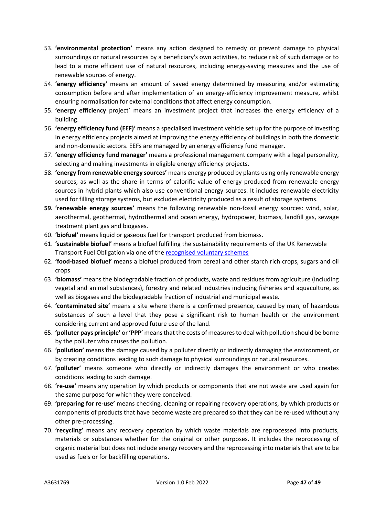- 53. **'environmental protection'** means any action designed to remedy or prevent damage to physical surroundings or natural resources by a beneficiary's own activities, to reduce risk of such damage or to lead to a more efficient use of natural resources, including energy-saving measures and the use of renewable sources of energy.
- 54. **'energy efficiency'** means an amount of saved energy determined by measuring and/or estimating consumption before and after implementation of an energy-efficiency improvement measure, whilst ensuring normalisation for external conditions that affect energy consumption.
- 55. **'energy efficiency** project' means an investment project that increases the energy efficiency of a building.
- 56. **'energy efficiency fund (EEF)'** means a specialised investment vehicle set up for the purpose of investing in energy efficiency projects aimed at improving the energy efficiency of buildings in both the domestic and non-domestic sectors. EEFs are managed by an energy efficiency fund manager.
- 57. **'energy efficiency fund manager'** means a professional management company with a legal personality, selecting and making investments in eligible energy efficiency projects.
- 58. **'energy from renewable energy sources'** means energy produced by plants using only renewable energy sources, as well as the share in terms of calorific value of energy produced from renewable energy sources in hybrid plants which also use conventional energy sources. It includes renewable electricity used for filling storage systems, but excludes electricity produced as a result of storage systems.
- **59. 'renewable energy sources'** means the following renewable non-fossil energy sources: wind, solar, aerothermal, geothermal, hydrothermal and ocean energy, hydropower, biomass, landfill gas, sewage treatment plant gas and biogases.
- 60. **'biofuel'** means liquid or gaseous fuel for transport produced from biomass.
- 61. **'sustainable biofuel'** means a biofuel fulfilling the sustainability requirements of the UK Renewable Transport Fuel Obligation via one of the [recognised voluntary schemes](https://www.gov.uk/government/publications/renewable-transport-fuel-obligation-rtfo-voluntary-schemes)
- 62. **'food-based biofuel'** means a biofuel produced from cereal and other starch rich crops, sugars and oil crops
- 63. **'biomass'** means the biodegradable fraction of products, waste and residues from agriculture (including vegetal and animal substances), forestry and related industries including fisheries and aquaculture, as well as biogases and the biodegradable fraction of industrial and municipal waste.
- 64. **'contaminated site'** means a site where there is a confirmed presence, caused by man, of hazardous substances of such a level that they pose a significant risk to human health or the environment considering current and approved future use of the land.
- 65. **'polluter pays principle'** or**'PPP**' means that the costs of measures to deal with pollution should be borne by the polluter who causes the pollution.
- 66. **'pollution'** means the damage caused by a polluter directly or indirectly damaging the environment, or by creating conditions leading to such damage to physical surroundings or natural resources.
- 67. **'polluter'** means someone who directly or indirectly damages the environment or who creates conditions leading to such damage.
- 68. **'re-use'** means any operation by which products or components that are not waste are used again for the same purpose for which they were conceived.
- 69. **'preparing for re-use'** means checking, cleaning or repairing recovery operations, by which products or components of products that have become waste are prepared so that they can be re-used without any other pre-processing.
- 70. **'recycling'** means any recovery operation by which waste materials are reprocessed into products, materials or substances whether for the original or other purposes. It includes the reprocessing of organic material but does not include energy recovery and the reprocessing into materials that are to be used as fuels or for backfilling operations.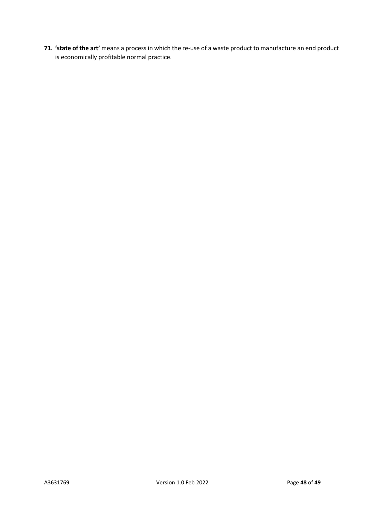**71. 'state of the art'** means a process in which the re-use of a waste product to manufacture an end product is economically profitable normal practice.